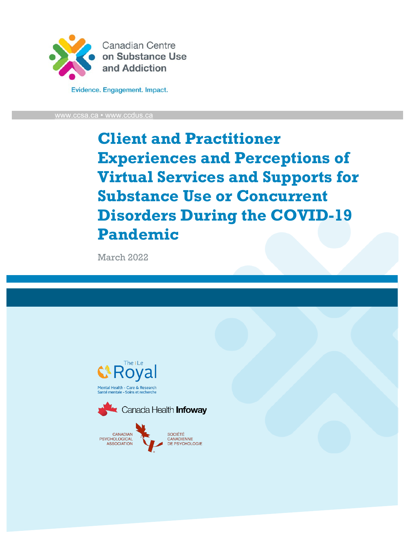

Evidence. Engagement. Impact.

[www.ccsa.ca](http://www.ccsa.ca/) • www.ccdus.c

# **Client and Practitioner Experiences and Perceptions of Virtual Services and Supports for Substance Use or Concurrent Disorders During the COVID-19 Pandemic**

March 2022





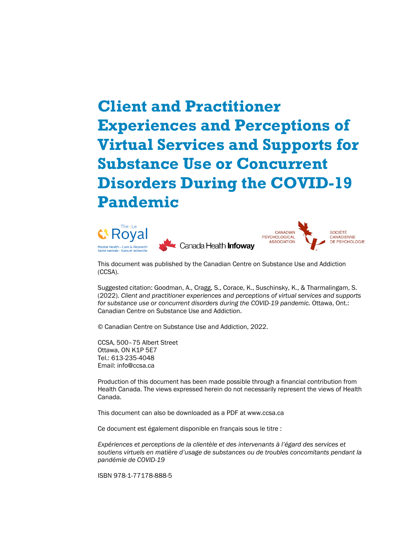# **Client and Practitioner Experiences and Perceptions of Virtual Services and Supports for Substance Use or Concurrent Disorders During the COVID-19 Pandemic**





This document was published by the Canadian Centre on Substance Use and Addiction (CCSA).

Suggested citation: Goodman, A., Cragg, S., Corace, K., Suschinsky, K., & Tharmalingam, S. (2022). *Client and practitioner experiences and perceptions of virtual services and supports for substance use or concurrent disorders during the COVID-19 pandemic.* Ottawa, Ont.: Canadian Centre on Substance Use and Addiction.

© Canadian Centre on Substance Use and Addiction, 2022.

CCSA, 500–75 Albert Street Ottawa, ON K1P 5E7 Tel.: 613-235-4048 Email: info@ccsa.ca

Production of this document has been made possible through a financial contribution from Health Canada. The views expressed herein do not necessarily represent the views of Health Canada.

This document can also be downloaded as a PDF at www.ccsa.ca

Ce document est également disponible en français sous le titre :

*Expériences et perceptions de la clientèle et des intervenants à l'égard des services et soutiens virtuels en matière d'usage de substances ou de troubles concomitants pendant la pandémie de COVID-19*

ISBN 978-1-77178-888-5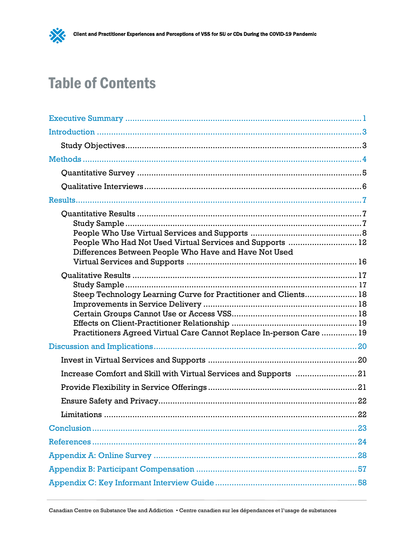# Table of Contents

 $\frac{1}{2}$ 

| People Who Had Not Used Virtual Services and Supports  12<br>Differences Between People Who Have and Have Not Used |  |
|--------------------------------------------------------------------------------------------------------------------|--|
|                                                                                                                    |  |
|                                                                                                                    |  |
| Steep Technology Learning Curve for Practitioner and Clients 18                                                    |  |
|                                                                                                                    |  |
|                                                                                                                    |  |
|                                                                                                                    |  |
| Practitioners Agreed Virtual Care Cannot Replace In-person Care  19                                                |  |
|                                                                                                                    |  |
|                                                                                                                    |  |
| Increase Comfort and Skill with Virtual Services and Supports 21                                                   |  |
|                                                                                                                    |  |
|                                                                                                                    |  |
|                                                                                                                    |  |
|                                                                                                                    |  |
|                                                                                                                    |  |
|                                                                                                                    |  |
|                                                                                                                    |  |
|                                                                                                                    |  |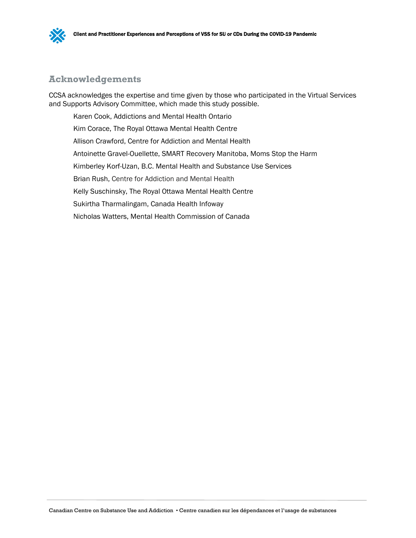

# **Acknowledgements**

CCSA acknowledges the expertise and time given by those who participated in the Virtual Services and Supports Advisory Committee, which made this study possible.

Karen Cook, Addictions and Mental Health Ontario Kim Corace, The Royal Ottawa Mental Health Centre Allison Crawford, Centre for Addiction and Mental Health Antoinette Gravel-Ouellette, SMART Recovery Manitoba, Moms Stop the Harm Kimberley Korf-Uzan, B.C. Mental Health and Substance Use Services Brian Rush, Centre for Addiction and Mental Health Kelly Suschinsky, The Royal Ottawa Mental Health Centre Sukirtha Tharmalingam, Canada Health Infoway Nicholas Watters, Mental Health Commission of Canada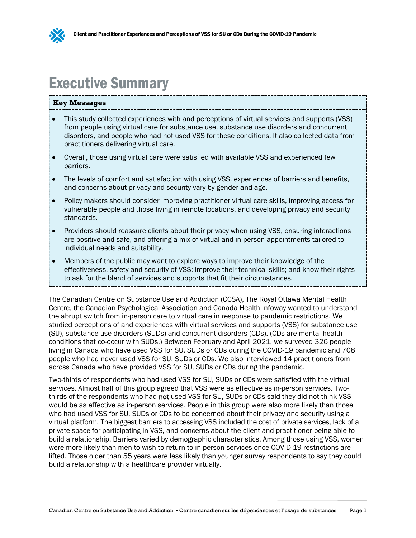

# <span id="page-4-0"></span>Executive Summary

#### **Key Messages**

- This study collected experiences with and perceptions of virtual services and supports (VSS) from people using virtual care for substance use, substance use disorders and concurrent disorders, and people who had not used VSS for these conditions. It also collected data from practitioners delivering virtual care.
- Overall, those using virtual care were satisfied with available VSS and experienced few barriers.
- The levels of comfort and satisfaction with using VSS, experiences of barriers and benefits, and concerns about privacy and security vary by gender and age.
- Policy makers should consider improving practitioner virtual care skills, improving access for vulnerable people and those living in remote locations, and developing privacy and security standards.
- Providers should reassure clients about their privacy when using VSS, ensuring interactions are positive and safe, and offering a mix of virtual and in-person appointments tailored to individual needs and suitability.
- Members of the public may want to explore ways to improve their knowledge of the effectiveness, safety and security of VSS; improve their technical skills; and know their rights to ask for the blend of services and supports that fit their circumstances.

The Canadian Centre on Substance Use and Addiction (CCSA), The Royal Ottawa Mental Health Centre, the Canadian Psychological Association and Canada Health Infoway wanted to understand the abrupt switch from in-person care to virtual care in response to pandemic restrictions. We studied perceptions of and experiences with virtual services and supports (VSS) for substance use (SU), substance use disorders (SUDs) and concurrent disorders (CDs). (CDs are mental health conditions that co-occur with SUDs.) Between February and April 2021, we surveyed 326 people living in Canada who have used VSS for SU, SUDs or CDs during the COVID-19 pandemic and 708 people who had never used VSS for SU, SUDs or CDs. We also interviewed 14 practitioners from across Canada who have provided VSS for SU, SUDs or CDs during the pandemic.

Two-thirds of respondents who had used VSS for SU, SUDs or CDs were satisfied with the virtual services. Almost half of this group agreed that VSS were as effective as in-person services. Twothirds of the respondents who had not used VSS for SU, SUDs or CDs said they did not think VSS would be as effective as in-person services. People in this group were also more likely than those who had used VSS for SU, SUDs or CDs to be concerned about their privacy and security using a virtual platform. The biggest barriers to accessing VSS included the cost of private services, lack of a private space for participating in VSS, and concerns about the client and practitioner being able to build a relationship. Barriers varied by demographic characteristics. Among those using VSS, women were more likely than men to wish to return to in-person services once COVID-19 restrictions are lifted. Those older than 55 years were less likely than younger survey respondents to say they could build a relationship with a healthcare provider virtually.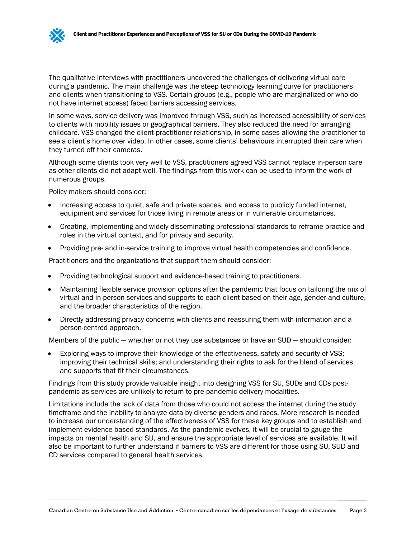The qualitative interviews with practitioners uncovered the challenges of delivering virtual care during a pandemic. The main challenge was the steep technology learning curve for practitioners and clients when transitioning to VSS. Certain groups (e.g., people who are marginalized or who do not have internet access) faced barriers accessing services.

In some ways, service delivery was improved through VSS, such as increased accessibility of services to clients with mobility issues or geographical barriers. They also reduced the need for arranging childcare. VSS changed the client-practitioner relationship, in some cases allowing the practitioner to see a client's home over video. In other cases, some clients' behaviours interrupted their care when they turned off their cameras.

Although some clients took very well to VSS, practitioners agreed VSS cannot replace in-person care as other clients did not adapt well. The findings from this work can be used to inform the work of numerous groups.

Policy makers should consider:

- Increasing access to quiet, safe and private spaces, and access to publicly funded internet, equipment and services for those living in remote areas or in vulnerable circumstances.
- Creating, implementing and widely disseminating professional standards to reframe practice and roles in the virtual context, and for privacy and security.
- Providing pre- and in-service training to improve virtual health competencies and confidence.

Practitioners and the organizations that support them should consider:

- Providing technological support and evidence-based training to practitioners.
- Maintaining flexible service provision options after the pandemic that focus on tailoring the mix of virtual and in-person services and supports to each client based on their age, gender and culture, and the broader characteristics of the region.
- Directly addressing privacy concerns with clients and reassuring them with information and a person-centred approach.

Members of the public — whether or not they use substances or have an SUD — should consider:

• Exploring ways to improve their knowledge of the effectiveness, safety and security of VSS; improving their technical skills; and understanding their rights to ask for the blend of services and supports that fit their circumstances.

Findings from this study provide valuable insight into designing VSS for SU, SUDs and CDs postpandemic as services are unlikely to return to pre-pandemic delivery modalities.

Limitations include the lack of data from those who could not access the internet during the study timeframe and the inability to analyze data by diverse genders and races. More research is needed to increase our understanding of the effectiveness of VSS for these key groups and to establish and implement evidence-based standards. As the pandemic evolves, it will be crucial to gauge the impacts on mental health and SU, and ensure the appropriate level of services are available. It will also be important to further understand if barriers to VSS are different for those using SU, SUD and CD services compared to general health services.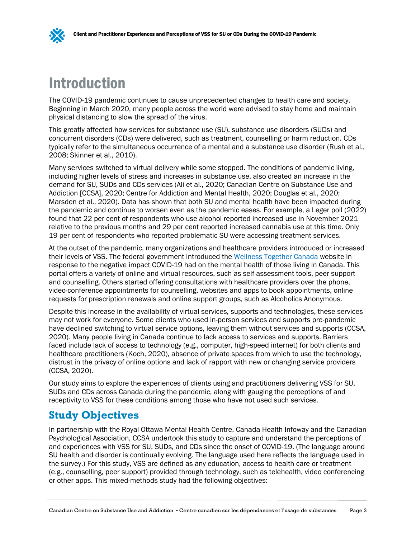# <span id="page-6-0"></span>Introduction

The COVID-19 pandemic continues to cause unprecedented changes to health care and society. Beginning in March 2020, many people across the world were advised to stay home and maintain physical distancing to slow the spread of the virus.

This greatly affected how services for substance use (SU), substance use disorders (SUDs) and concurrent disorders (CDs) were delivered, such as treatment, counselling or harm reduction. CDs typically refer to the simultaneous occurrence of a mental and a substance use disorder (Rush et al., 2008; Skinner et al., 2010).

Many services switched to virtual delivery while some stopped. The conditions of pandemic living, including higher levels of stress and increases in substance use, also created an increase in the demand for SU, SUDs and CDs services (Ali et al., 2020; Canadian Centre on Substance Use and Addiction [CCSA], 2020; Centre for Addiction and Mental Health, 2020; Douglas et al., 2020; Marsden et al., 2020). Data has shown that both SU and mental health have been impacted during the pandemic and continue to worsen even as the pandemic eases. For example, a Leger poll (2022) found that 22 per cent of respondents who use alcohol reported increased use in November 2021 relative to the previous months and 29 per cent reported increased cannabis use at this time. Only 19 per cent of respondents who reported problematic SU were accessing treatment services.

At the outset of the pandemic, many organizations and healthcare providers introduced or increased their levels of VSS. The federal government introduced the [Wellness Together Canada](https://wellnesstogether.ca/en-CA) website in response to the negative impact COVID-19 had on the mental health of those living in Canada. This portal offers a variety of online and virtual resources, such as self-assessment tools, peer support and counselling. Others started offering consultations with healthcare providers over the phone, video-conference appointments for counselling, websites and apps to book appointments, online requests for prescription renewals and online support groups, such as Alcoholics Anonymous.

Despite this increase in the availability of virtual services, supports and technologies, these services may not work for everyone. Some clients who used in-person services and supports pre-pandemic have declined switching to virtual service options, leaving them without services and supports (CCSA, 2020). Many people living in Canada continue to lack access to services and supports. Barriers faced include lack of access to technology (e.g., computer, high-speed internet) for both clients and healthcare practitioners (Koch, 2020), absence of private spaces from which to use the technology, distrust in the privacy of online options and lack of rapport with new or changing service providers (CCSA, 2020).

Our study aims to explore the experiences of clients using and practitioners delivering VSS for SU, SUDs and CDs across Canada during the pandemic, along with gauging the perceptions of and receptivity to VSS for these conditions among those who have not used such services.

# <span id="page-6-1"></span>**Study Objectives**

In partnership with the Royal Ottawa Mental Health Centre, Canada Health Infoway and the Canadian Psychological Association, CCSA undertook this study to capture and understand the perceptions of and experiences with VSS for SU, SUDs, and CDs since the onset of COVID-19. (The language around SU health and disorder is continually evolving. The language used here reflects the language used in the survey.) For this study, VSS are defined as any education, access to health care or treatment (e.g., counselling, peer support) provided through technology, such as telehealth, video conferencing or other apps. This mixed-methods study had the following objectives: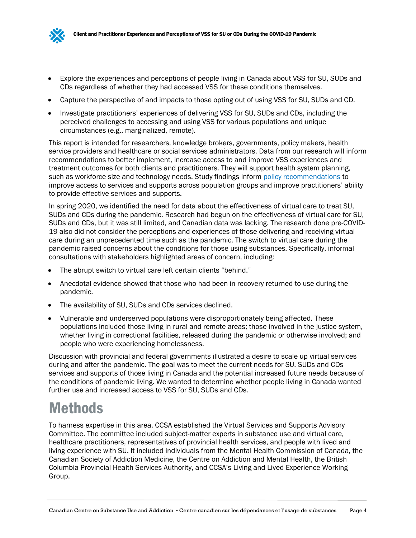

- Explore the experiences and perceptions of people living in Canada about VSS for SU, SUDs and CDs regardless of whether they had accessed VSS for these conditions themselves.
- Capture the perspective of and impacts to those opting out of using VSS for SU, SUDs and CD.
- Investigate practitioners' experiences of delivering VSS for SU, SUDs and CDs, including the perceived challenges to accessing and using VSS for various populations and unique circumstances (e.g., marginalized, remote).

This report is intended for researchers, knowledge brokers, governments, policy makers, health service providers and healthcare or social services administrators. Data from our research will inform recommendations to better implement, increase access to and improve VSS experiences and treatment outcomes for both clients and practitioners. They will support health system planning, such as workforce size and technology needs. Study findings inform [policy recommendations](https://www.ccsa.ca/sites/default/files/2021-10/CCSA-Virtual-Services-Supports-Substance-Use-Concurrent-Disorders-Policy-Brief-2021-en.pdf) to improve access to services and supports across population groups and improve practitioners' ability to provide effective services and supports.

In spring 2020, we identified the need for data about the effectiveness of virtual care to treat SU, SUDs and CDs during the pandemic. Research had begun on the effectiveness of virtual care for SU, SUDs and CDs, but it was still limited, and Canadian data was lacking. The research done pre-COVID-19 also did not consider the perceptions and experiences of those delivering and receiving virtual care during an unprecedented time such as the pandemic. The switch to virtual care during the pandemic raised concerns about the conditions for those using substances. Specifically, informal consultations with stakeholders highlighted areas of concern, including:

- The abrupt switch to virtual care left certain clients "behind."
- Anecdotal evidence showed that those who had been in recovery returned to use during the pandemic.
- The availability of SU, SUDs and CDs services declined.
- Vulnerable and underserved populations were disproportionately being affected. These populations included those living in rural and remote areas; those involved in the justice system, whether living in correctional facilities, released during the pandemic or otherwise involved; and people who were experiencing homelessness.

Discussion with provincial and federal governments illustrated a desire to scale up virtual services during and after the pandemic. The goal was to meet the current needs for SU, SUDs and CDs services and supports of those living in Canada and the potential increased future needs because of the conditions of pandemic living. We wanted to determine whether people living in Canada wanted further use and increased access to VSS for SU, SUDs and CDs.

# <span id="page-7-0"></span>**Methods**

To harness expertise in this area, CCSA established the Virtual Services and Supports Advisory Committee. The committee included subject-matter experts in substance use and virtual care, healthcare practitioners, representatives of provincial health services, and people with lived and living experience with SU. It included individuals from the Mental Health Commission of Canada, the Canadian Society of Addiction Medicine, the Centre on Addiction and Mental Health, the British Columbia Provincial Health Services Authority, and CCSA's Living and Lived Experience Working Group.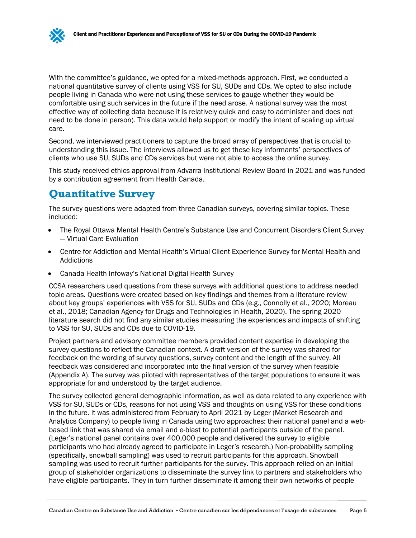With the committee's guidance, we opted for a mixed-methods approach. First, we conducted a national quantitative survey of clients using VSS for SU, SUDs and CDs. We opted to also include people living in Canada who were not using these services to gauge whether they would be comfortable using such services in the future if the need arose. A national survey was the most effective way of collecting data because it is relatively quick and easy to administer and does not need to be done in person). This data would help support or modify the intent of scaling up virtual care.

Second, we interviewed practitioners to capture the broad array of perspectives that is crucial to understanding this issue. The interviews allowed us to get these key informants' perspectives of clients who use SU, SUDs and CDs services but were not able to access the online survey.

This study received ethics approval from Advarra Institutional Review Board in 2021 and was funded by a contribution agreement from Health Canada.

# <span id="page-8-0"></span>**Quantitative Survey**

The survey questions were adapted from three Canadian surveys, covering similar topics. These included:

- The Royal Ottawa Mental Health Centre's Substance Use and Concurrent Disorders Client Survey — Virtual Care Evaluation
- Centre for Addiction and Mental Health's Virtual Client Experience Survey for Mental Health and Addictions
- Canada Health Infoway's National Digital Health Survey

CCSA researchers used questions from these surveys with additional questions to address needed topic areas. Questions were created based on key findings and themes from a literature review about key groups' experiences with VSS for SU, SUDs and CDs (e.g., Connolly et al., 2020; Moreau et al., 2018; Canadian Agency for Drugs and Technologies in Health, 2020). The spring 2020 literature search did not find any similar studies measuring the experiences and impacts of shifting to VSS for SU, SUDs and CDs due to COVID-19.

Project partners and advisory committee members provided content expertise in developing the survey questions to reflect the Canadian context. A draft version of the survey was shared for feedback on the wording of survey questions, survey content and the length of the survey. All feedback was considered and incorporated into the final version of the survey when feasible (Appendix A). The survey was piloted with representatives of the target populations to ensure it was appropriate for and understood by the target audience.

The survey collected general demographic information, as well as data related to any experience with VSS for SU, SUDs or CDs, reasons for not using VSS and thoughts on using VSS for these conditions in the future. It was administered from February to April 2021 by Leger (Market Research and Analytics Company) to people living in Canada using two approaches: their national panel and a webbased link that was shared via email and e-blast to potential participants outside of the panel. (Leger's national panel contains over 400,000 people and delivered the survey to eligible participants who had already agreed to participate in Leger's research.) Non-probability sampling (specifically, snowball sampling) was used to recruit participants for this approach. Snowball sampling was used to recruit further participants for the survey. This approach relied on an initial group of stakeholder organizations to disseminate the survey link to partners and stakeholders who have eligible participants. They in turn further disseminate it among their own networks of people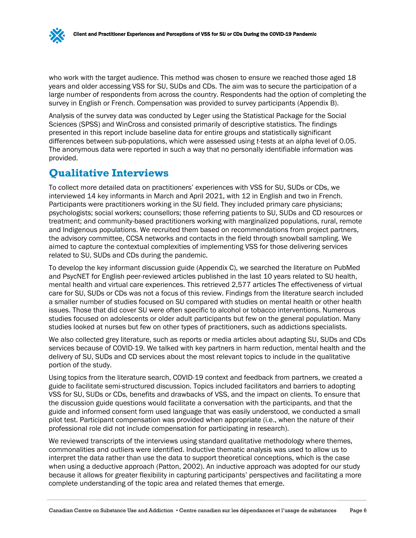who work with the target audience. This method was chosen to ensure we reached those aged 18 years and older accessing VSS for SU, SUDs and CDs. The aim was to secure the participation of a large number of respondents from across the country. Respondents had the option of completing the survey in English or French. Compensation was provided to survey participants (Appendix B).

Analysis of the survey data was conducted by Leger using the Statistical Package for the Social Sciences (SPSS) and WinCross and consisted primarily of descriptive statistics. The findings presented in this report include baseline data for entire groups and statistically significant differences between sub-populations, which were assessed using *t*-tests at an alpha level of 0.05. The anonymous data were reported in such a way that no personally identifiable information was provided.

# <span id="page-9-0"></span>**Qualitative Interviews**

To collect more detailed data on practitioners' experiences with VSS for SU, SUDs or CDs, we interviewed 14 key informants in March and April 2021, with 12 in English and two in French. Participants were practitioners working in the SU field. They included primary care physicians; psychologists; social workers; counsellors; those referring patients to SU, SUDs and CD resources or treatment; and community-based practitioners working with marginalized populations, rural, remote and Indigenous populations. We recruited them based on recommendations from project partners, the advisory committee, CCSA networks and contacts in the field through snowball sampling. We aimed to capture the contextual complexities of implementing VSS for those delivering services related to SU, SUDs and CDs during the pandemic.

To develop the key informant discussion guide (Appendix C), we searched the literature on PubMed and PsycNET for English peer-reviewed articles published in the last 10 years related to SU health, mental health and virtual care experiences. This retrieved 2,577 articles The effectiveness of virtual care for SU, SUDs or CDs was not a focus of this review. Findings from the literature search included a smaller number of studies focused on SU compared with studies on mental health or other health issues. Those that did cover SU were often specific to alcohol or tobacco interventions. Numerous studies focused on adolescents or older adult participants but few on the general population. Many studies looked at nurses but few on other types of practitioners, such as addictions specialists.

We also collected grey literature, such as reports or media articles about adapting SU, SUDs and CDs services because of COVID-19. We talked with key partners in harm reduction, mental health and the delivery of SU, SUDs and CD services about the most relevant topics to include in the qualitative portion of the study.

Using topics from the literature search, COVID-19 context and feedback from partners, we created a guide to facilitate semi-structured discussion. Topics included facilitators and barriers to adopting VSS for SU, SUDs or CDs, benefits and drawbacks of VSS, and the impact on clients. To ensure that the discussion guide questions would facilitate a conversation with the participants, and that the guide and informed consent form used language that was easily understood, we conducted a small pilot test. Participant compensation was provided when appropriate (i.e., when the nature of their professional role did not include compensation for participating in research).

We reviewed transcripts of the interviews using standard qualitative methodology where themes, commonalities and outliers were identified. Inductive thematic analysis was used to allow us to interpret the data rather than use the data to support theoretical conceptions, which is the case when using a deductive approach (Patton, 2002). An inductive approach was adopted for our study because it allows for greater flexibility in capturing participants' perspectives and facilitating a more complete understanding of the topic area and related themes that emerge.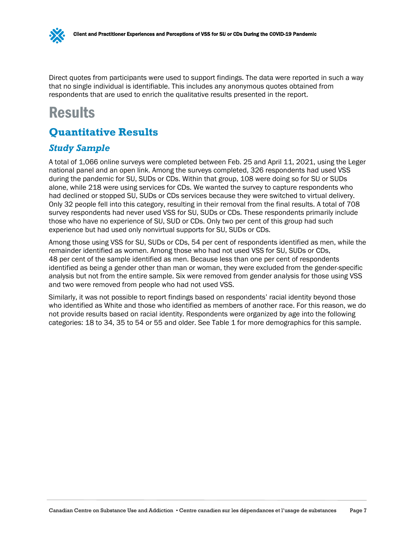Direct quotes from participants were used to support findings. The data were reported in such a way that no single individual is identifiable. This includes any anonymous quotes obtained from respondents that are used to enrich the qualitative results presented in the report.

# <span id="page-10-0"></span>**Results**

# <span id="page-10-1"></span>**Quantitative Results**

# <span id="page-10-2"></span>*Study Sample*

A total of 1,066 online surveys were completed between Feb. 25 and April 11, 2021, using the Leger national panel and an open link. Among the surveys completed, 326 respondents had used VSS during the pandemic for SU, SUDs or CDs. Within that group, 108 were doing so for SU or SUDs alone, while 218 were using services for CDs. We wanted the survey to capture respondents who had declined or stopped SU, SUDs or CDs services because they were switched to virtual delivery. Only 32 people fell into this category, resulting in their removal from the final results. A total of 708 survey respondents had never used VSS for SU, SUDs or CDs. These respondents primarily include those who have no experience of SU, SUD or CDs. Only two per cent of this group had such experience but had used only nonvirtual supports for SU, SUDs or CDs.

Among those using VSS for SU, SUDs or CDs, 54 per cent of respondents identified as men, while the remainder identified as women. Among those who had not used VSS for SU, SUDs or CDs, 48 per cent of the sample identified as men. Because less than one per cent of respondents identified as being a gender other than man or woman, they were excluded from the gender-specific analysis but not from the entire sample. Six were removed from gender analysis for those using VSS and two were removed from people who had not used VSS.

Similarly, it was not possible to report findings based on respondents' racial identity beyond those who identified as White and those who identified as members of another race. For this reason, we do not provide results based on racial identity. Respondents were organized by age into the following categories: 18 to 34, 35 to 54 or 55 and older. See Table 1 for more demographics for this sample.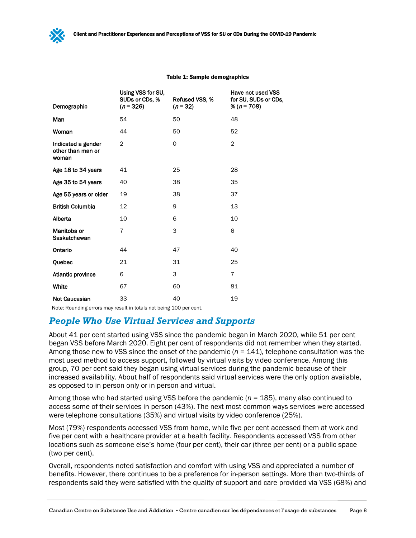| Demographic                                      | Using VSS for SU,<br>SUDs or CDs, %<br>$(n=326)$ | Refused VSS, %<br>$(n=32)$ | Have not used VSS<br>for SU, SUDs or CDs,<br>% ( $n = 708$ ) |
|--------------------------------------------------|--------------------------------------------------|----------------------------|--------------------------------------------------------------|
| Man                                              | 54                                               | 50                         | 48                                                           |
| Woman                                            | 44                                               | 50                         | 52                                                           |
| Indicated a gender<br>other than man or<br>woman | $\overline{2}$                                   | 0                          | $\overline{2}$                                               |
| Age 18 to 34 years                               | 41                                               | 25                         | 28                                                           |
| Age 35 to 54 years                               | 40                                               | 38                         | 35                                                           |
| Age 55 years or older                            | 19                                               | 38                         | 37                                                           |
| <b>British Columbia</b>                          | 12                                               | 9                          | 13                                                           |
| Alberta                                          | 10                                               | 6                          | 10                                                           |
| Manitoba or<br>Saskatchewan                      | $\overline{7}$                                   | 3                          | 6                                                            |
| Ontario                                          | 44                                               | 47                         | 40                                                           |
| Quebec                                           | 21                                               | 31                         | 25                                                           |
| Atlantic province                                | 6                                                | 3                          | $\overline{7}$                                               |
| White                                            | 67                                               | 60                         | 81                                                           |
| <b>Not Caucasian</b>                             | 33                                               | 40                         | 19                                                           |

#### Table 1: Sample demographics

Note: Rounding errors may result in totals not being 100 per cent.

# <span id="page-11-0"></span>*People Who Use Virtual Services and Supports*

About 41 per cent started using VSS since the pandemic began in March 2020, while 51 per cent began VSS before March 2020. Eight per cent of respondents did not remember when they started. Among those new to VSS since the onset of the pandemic (*n* = 141), telephone consultation was the most used method to access support, followed by virtual visits by video conference. Among this group, 70 per cent said they began using virtual services during the pandemic because of their increased availability. About half of respondents said virtual services were the only option available, as opposed to in person only or in person and virtual.

Among those who had started using VSS before the pandemic (*n* = 185), many also continued to access some of their services in person (43%). The next most common ways services were accessed were telephone consultations (35%) and virtual visits by video conference (25%).

Most (79%) respondents accessed VSS from home, while five per cent accessed them at work and five per cent with a healthcare provider at a health facility. Respondents accessed VSS from other locations such as someone else's home (four per cent), their car (three per cent) or a public space (two per cent).

Overall, respondents noted satisfaction and comfort with using VSS and appreciated a number of benefits. However, there continues to be a preference for in-person settings. More than two-thirds of respondents said they were satisfied with the quality of support and care provided via VSS (68%) and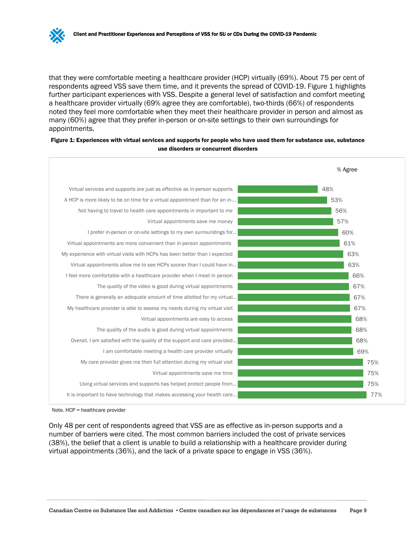that they were comfortable meeting a healthcare provider (HCP) virtually (69%). About 75 per cent of respondents agreed VSS save them time, and it prevents the spread of COVID-19. Figure 1 highlights further participant experiences with VSS. Despite a general level of satisfaction and comfort meeting a healthcare provider virtually (69% agree they are comfortable), two-thirds (66%) of respondents noted they feel more comfortable when they meet their healthcare provider in person and almost as many (60%) agree that they prefer in-person or on-site settings to their own surroundings for appointments.

#### Figure 1: Experiences with virtual services and supports for people who have used them for substance use, substance use disorders or concurrent disorders



Note. HCP = healthcare provider

Only 48 per cent of respondents agreed that VSS are as effective as in-person supports and a number of barriers were cited. The most common barriers included the cost of private services (38%), the belief that a client is unable to build a relationship with a healthcare provider during virtual appointments (36%), and the lack of a private space to engage in VSS (36%).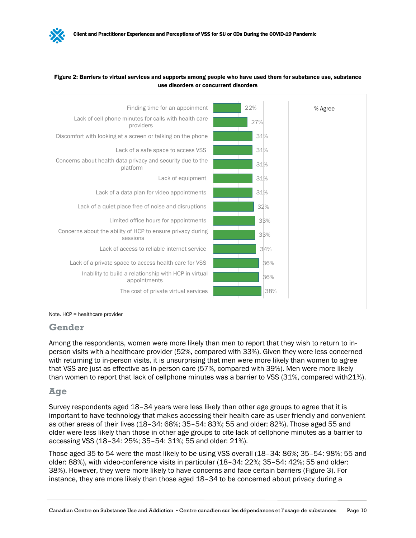



Note. HCP = healthcare provider

#### **Gender**

Among the respondents, women were more likely than men to report that they wish to return to inperson visits with a healthcare provider (52%, compared with 33%). Given they were less concerned with returning to in-person visits, it is unsurprising that men were more likely than women to agree that VSS are just as effective as in-person care (57%, compared with 39%). Men were more likely than women to report that lack of cellphone minutes was a barrier to VSS (31%, compared with21%).

## **Age**

Survey respondents aged 18–34 years were less likely than other age groups to agree that it is important to have technology that makes accessing their health care as user friendly and convenient as other areas of their lives (18–34: 68%; 35–54: 83%; 55 and older: 82%). Those aged 55 and older were less likely than those in other age groups to cite lack of cellphone minutes as a barrier to accessing VSS (18–34: 25%; 35–54: 31%; 55 and older: 21%).

Those aged 35 to 54 were the most likely to be using VSS overall (18–34: 86%; 35–54: 98%; 55 and older: 88%), with video-conference visits in particular (18–34: 22%; 35–54: 42%; 55 and older: 38%). However, they were more likely to have concerns and face certain barriers (Figure 3). For instance, they are more likely than those aged 18–34 to be concerned about privacy during a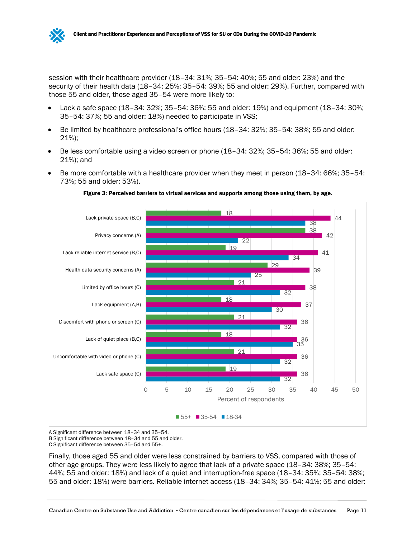

session with their healthcare provider (18–34: 31%; 35–54: 40%; 55 and older: 23%) and the security of their health data (18–34: 25%; 35–54: 39%; 55 and older: 29%). Further, compared with those 55 and older, those aged 35–54 were more likely to:

- Lack a safe space (18–34: 32%; 35–54: 36%; 55 and older: 19%) and equipment (18–34: 30%; 35–54: 37%; 55 and older: 18%) needed to participate in VSS;
- Be limited by healthcare professional's office hours (18–34: 32%; 35–54: 38%; 55 and older: 21%);
- Be less comfortable using a video screen or phone (18–34: 32%; 35–54: 36%; 55 and older: 21%); and
- Be more comfortable with a healthcare provider when they meet in person (18–34: 66%; 35–54: 73%; 55 and older: 53%).



Figure 3: Perceived barriers to virtual services and supports among those using them, by age.

A Significant difference between 18–34 and 35–54.

B Significant difference between 18–34 and 55 and older.

C Significant difference between 35–54 and 55+.

Finally, those aged 55 and older were less constrained by barriers to VSS, compared with those of other age groups. They were less likely to agree that lack of a private space (18–34: 38%; 35–54: 44%; 55 and older: 18%) and lack of a quiet and interruption-free space (18–34: 35%; 35–54: 38%; 55 and older: 18%) were barriers. Reliable internet access (18–34: 34%; 35–54: 41%; 55 and older: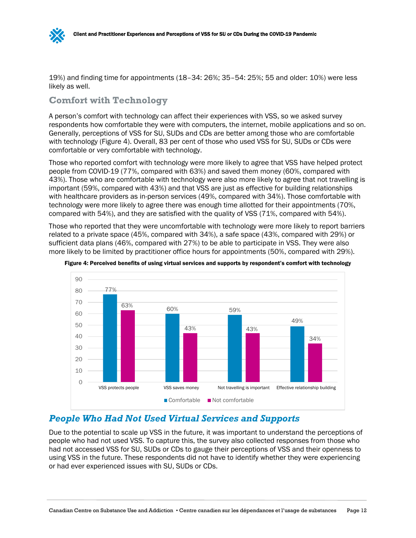

19%) and finding time for appointments (18–34: 26%; 35–54: 25%; 55 and older: 10%) were less likely as well.

# **Comfort with Technology**

A person's comfort with technology can affect their experiences with VSS, so we asked survey respondents how comfortable they were with computers, the internet, mobile applications and so on. Generally, perceptions of VSS for SU, SUDs and CDs are better among those who are comfortable with technology (Figure 4). Overall, 83 per cent of those who used VSS for SU, SUDs or CDs were comfortable or very comfortable with technology.

Those who reported comfort with technology were more likely to agree that VSS have helped protect people from COVID-19 (77%, compared with 63%) and saved them money (60%, compared with 43%). Those who are comfortable with technology were also more likely to agree that not travelling is important (59%, compared with 43%) and that VSS are just as effective for building relationships with healthcare providers as in-person services (49%, compared with 34%). Those comfortable with technology were more likely to agree there was enough time allotted for their appointments (70%, compared with 54%), and they are satisfied with the quality of VSS (71%, compared with 54%).

Those who reported that they were uncomfortable with technology were more likely to report barriers related to a private space (45%, compared with 34%), a safe space (43%, compared with 29%) or sufficient data plans (46%, compared with 27%) to be able to participate in VSS. They were also more likely to be limited by practitioner office hours for appointments (50%, compared with 29%).



Figure 4: Perceived benefits of using virtual services and supports by respondent's comfort with technology

# <span id="page-15-0"></span>*People Who Had Not Used Virtual Services and Supports*

Due to the potential to scale up VSS in the future, it was important to understand the perceptions of people who had not used VSS. To capture this, the survey also collected responses from those who had not accessed VSS for SU, SUDs or CDs to gauge their perceptions of VSS and their openness to using VSS in the future. These respondents did not have to identify whether they were experiencing or had ever experienced issues with SU, SUDs or CDs.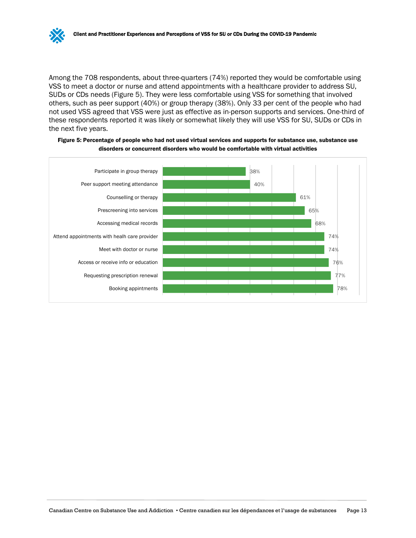

Among the 708 respondents, about three-quarters (74%) reported they would be comfortable using VSS to meet a doctor or nurse and attend appointments with a healthcare provider to address SU, SUDs or CDs needs (Figure 5). They were less comfortable using VSS for something that involved others, such as peer support (40%) or group therapy (38%). Only 33 per cent of the people who had not used VSS agreed that VSS were just as effective as in-person supports and services. One-third of these respondents reported it was likely or somewhat likely they will use VSS for SU, SUDs or CDs in the next five years.



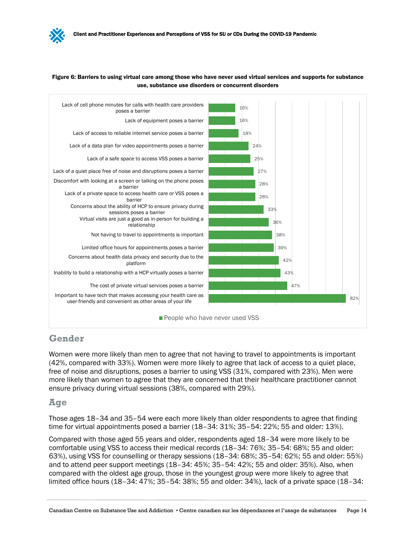#### Figure 6: Barriers to using virtual care among those who have never used virtual services and supports for substance use, substance use disorders or concurrent disorders



## **Gender**

Women were more likely than men to agree that not having to travel to appointments is important (42%, compared with 33%). Women were more likely to agree that lack of access to a quiet place, free of noise and disruptions, poses a barrier to using VSS (31%, compared with 23%). Men were more likely than women to agree that they are concerned that their healthcare practitioner cannot ensure privacy during virtual sessions (38%, compared with 29%).

## **Age**

Those ages 18–34 and 35–54 were each more likely than older respondents to agree that finding time for virtual appointments posed a barrier (18–34: 31%; 35–54: 22%; 55 and older: 13%).

Compared with those aged 55 years and older, respondents aged 18–34 were more likely to be comfortable using VSS to access their medical records (18–34: 76%; 35–54: 68%; 55 and older: 63%), using VSS for counselling or therapy sessions (18–34: 68%; 35–54: 62%; 55 and older: 55%) and to attend peer support meetings (18–34: 45%; 35–54: 42%; 55 and older: 35%). Also, when compared with the oldest age group, those in the youngest group were more likely to agree that limited office hours (18–34: 47%; 35–54: 38%; 55 and older: 34%), lack of a private space (18–34: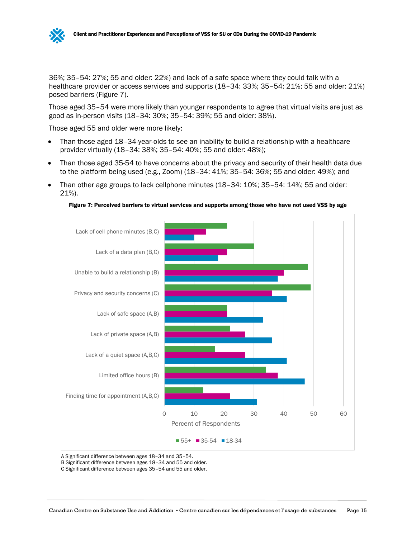

36%; 35–54: 27%; 55 and older: 22%) and lack of a safe space where they could talk with a healthcare provider or access services and supports (18-34: 33%; 35-54: 21%; 55 and older: 21%) posed barriers (Figure 7).

Those aged 35–54 were more likely than younger respondents to agree that virtual visits are just as good as in-person visits (18–34: 30%; 35–54: 39%; 55 and older: 38%).

Those aged 55 and older were more likely:

- Than those aged 18–34-year-olds to see an inability to build a relationship with a healthcare provider virtually (18–34: 38%; 35–54: 40%; 55 and older: 48%);
- Than those aged 35-54 to have concerns about the privacy and security of their health data due to the platform being used (e.g., Zoom) (18–34: 41%; 35–54: 36%; 55 and older: 49%); and
- Than other age groups to lack cellphone minutes (18–34: 10%; 35–54: 14%; 55 and older: 21%).





A Significant difference between ages 18–34 and 35–54.

B Significant difference between ages 18–34 and 55 and older.

C Significant difference between ages 35–54 and 55 and older.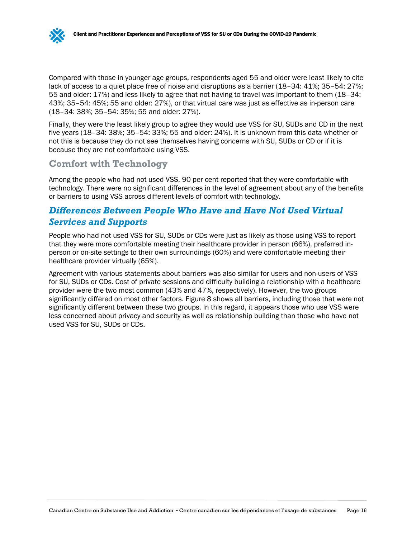Compared with those in younger age groups, respondents aged 55 and older were least likely to cite lack of access to a quiet place free of noise and disruptions as a barrier (18–34: 41%; 35–54: 27%; 55 and older: 17%) and less likely to agree that not having to travel was important to them (18–34: 43%; 35–54: 45%; 55 and older: 27%), or that virtual care was just as effective as in-person care (18–34: 38%; 35–54: 35%; 55 and older: 27%).

Finally, they were the least likely group to agree they would use VSS for SU, SUDs and CD in the next five years (18–34: 38%; 35–54: 33%; 55 and older: 24%). It is unknown from this data whether or not this is because they do not see themselves having concerns with SU, SUDs or CD or if it is because they are not comfortable using VSS.

# **Comfort with Technology**

Among the people who had not used VSS, 90 per cent reported that they were comfortable with technology. There were no significant differences in the level of agreement about any of the benefits or barriers to using VSS across different levels of comfort with technology.

# <span id="page-19-0"></span>*Differences Between People Who Have and Have Not Used Virtual Services and Supports*

People who had not used VSS for SU, SUDs or CDs were just as likely as those using VSS to report that they were more comfortable meeting their healthcare provider in person (66%), preferred inperson or on-site settings to their own surroundings (60%) and were comfortable meeting their healthcare provider virtually (65%).

Agreement with various statements about barriers was also similar for users and non-users of VSS for SU, SUDs or CDs. Cost of private sessions and difficulty building a relationship with a healthcare provider were the two most common (43% and 47%, respectively). However, the two groups significantly differed on most other factors. Figure 8 shows all barriers, including those that were not significantly different between these two groups. In this regard, it appears those who use VSS were less concerned about privacy and security as well as relationship building than those who have not used VSS for SU, SUDs or CDs.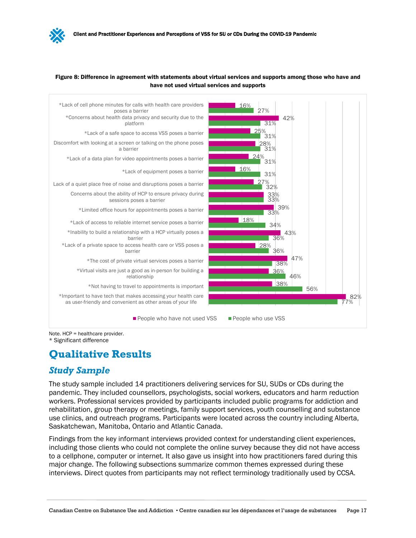#### Figure 8: Difference in agreement with statements about virtual services and supports among those who have and have not used virtual services and supports



\* Significant difference

# <span id="page-20-0"></span>**Qualitative Results**

# *Study Sample*

The study sample included 14 practitioners delivering services for SU, SUDs or CDs during the pandemic. They included counsellors, psychologists, social workers, educators and harm reduction workers. Professional services provided by participants included public programs for addiction and rehabilitation, group therapy or meetings, family support services, youth counselling and substance use clinics, and outreach programs. Participants were located across the country including Alberta, Saskatchewan, Manitoba, Ontario and Atlantic Canada.

Findings from the key informant interviews provided context for understanding client experiences, including those clients who could not complete the online survey because they did not have access to a cellphone, computer or internet. It also gave us insight into how practitioners fared during this major change. The following subsections summarize common themes expressed during these interviews. Direct quotes from participants may not reflect terminology traditionally used by CCSA.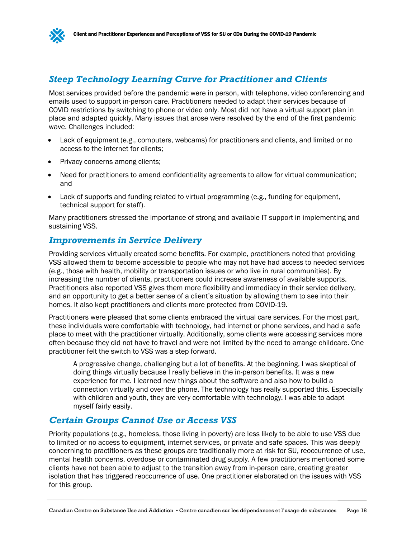# <span id="page-21-0"></span>*Steep Technology Learning Curve for Practitioner and Clients*

Most services provided before the pandemic were in person, with telephone, video conferencing and emails used to support in-person care. Practitioners needed to adapt their services because of COVID restrictions by switching to phone or video only. Most did not have a virtual support plan in place and adapted quickly. Many issues that arose were resolved by the end of the first pandemic wave. Challenges included:

- Lack of equipment (e.g., computers, webcams) for practitioners and clients, and limited or no access to the internet for clients;
- Privacy concerns among clients;
- Need for practitioners to amend confidentiality agreements to allow for virtual communication; and
- Lack of supports and funding related to virtual programming (e.g., funding for equipment, technical support for staff).

Many practitioners stressed the importance of strong and available IT support in implementing and sustaining VSS.

## <span id="page-21-1"></span>*Improvements in Service Delivery*

Providing services virtually created some benefits. For example, practitioners noted that providing VSS allowed them to become accessible to people who may not have had access to needed services (e.g., those with health, mobility or transportation issues or who live in rural communities). By increasing the number of clients, practitioners could increase awareness of available supports. Practitioners also reported VSS gives them more flexibility and immediacy in their service delivery, and an opportunity to get a better sense of a client's situation by allowing them to see into their homes. It also kept practitioners and clients more protected from COVID-19.

Practitioners were pleased that some clients embraced the virtual care services. For the most part, these individuals were comfortable with technology, had internet or phone services, and had a safe place to meet with the practitioner virtually. Additionally, some clients were accessing services more often because they did not have to travel and were not limited by the need to arrange childcare. One practitioner felt the switch to VSS was a step forward.

A progressive change, challenging but a lot of benefits. At the beginning, I was skeptical of doing things virtually because I really believe in the in-person benefits. It was a new experience for me. I learned new things about the software and also how to build a connection virtually and over the phone. The technology has really supported this. Especially with children and youth, they are very comfortable with technology. I was able to adapt myself fairly easily.

## <span id="page-21-2"></span>*Certain Groups Cannot Use or Access VSS*

Priority populations (e.g., homeless, those living in poverty) are less likely to be able to use VSS due to limited or no access to equipment, internet services, or private and safe spaces. This was deeply concerning to practitioners as these groups are traditionally more at risk for SU, reoccurrence of use, mental health concerns, overdose or contaminated drug supply. A few practitioners mentioned some clients have not been able to adjust to the transition away from in-person care, creating greater isolation that has triggered reoccurrence of use. One practitioner elaborated on the issues with VSS for this group.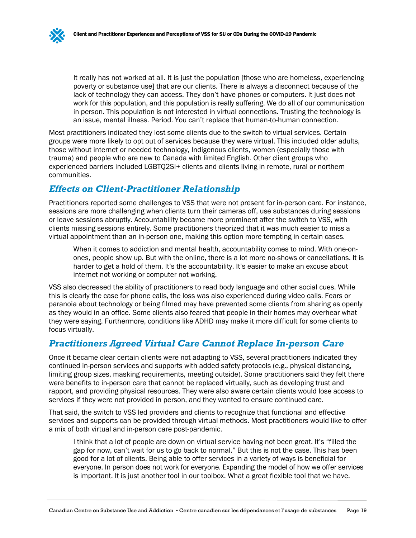It really has not worked at all. It is just the population [those who are homeless, experiencing poverty or substance use] that are our clients. There is always a disconnect because of the lack of technology they can access. They don't have phones or computers. It just does not work for this population, and this population is really suffering. We do all of our communication in person. This population is not interested in virtual connections. Trusting the technology is an issue, mental illness. Period. You can't replace that human-to-human connection.

Most practitioners indicated they lost some clients due to the switch to virtual services. Certain groups were more likely to opt out of services because they were virtual. This included older adults, those without internet or needed technology, Indigenous clients, women (especially those with trauma) and people who are new to Canada with limited English. Other client groups who experienced barriers included LGBTQ2SI+ clients and clients living in remote, rural or northern communities.

# <span id="page-22-0"></span>*Effects on Client-Practitioner Relationship*

Practitioners reported some challenges to VSS that were not present for in-person care. For instance, sessions are more challenging when clients turn their cameras off, use substances during sessions or leave sessions abruptly. Accountability became more prominent after the switch to VSS, with clients missing sessions entirely. Some practitioners theorized that it was much easier to miss a virtual appointment than an in-person one, making this option more tempting in certain cases.

When it comes to addiction and mental health, accountability comes to mind. With one-onones, people show up. But with the online, there is a lot more no-shows or cancellations. It is harder to get a hold of them. It's the accountability. It's easier to make an excuse about internet not working or computer not working.

VSS also decreased the ability of practitioners to read body language and other social cues. While this is clearly the case for phone calls, the loss was also experienced during video calls. Fears or paranoia about technology or being filmed may have prevented some clients from sharing as openly as they would in an office. Some clients also feared that people in their homes may overhear what they were saying. Furthermore, conditions like ADHD may make it more difficult for some clients to focus virtually.

# <span id="page-22-1"></span>*Practitioners Agreed Virtual Care Cannot Replace In-person Care*

Once it became clear certain clients were not adapting to VSS, several practitioners indicated they continued in-person services and supports with added safety protocols (e.g., physical distancing, limiting group sizes, masking requirements, meeting outside). Some practitioners said they felt there were benefits to in-person care that cannot be replaced virtually, such as developing trust and rapport, and providing physical resources. They were also aware certain clients would lose access to services if they were not provided in person, and they wanted to ensure continued care.

That said, the switch to VSS led providers and clients to recognize that functional and effective services and supports can be provided through virtual methods. Most practitioners would like to offer a mix of both virtual and in-person care post-pandemic.

I think that a lot of people are down on virtual service having not been great. It's "filled the gap for now, can't wait for us to go back to normal." But this is not the case. This has been good for a lot of clients. Being able to offer services in a variety of ways is beneficial for everyone. In person does not work for everyone. Expanding the model of how we offer services is important. It is just another tool in our toolbox. What a great flexible tool that we have.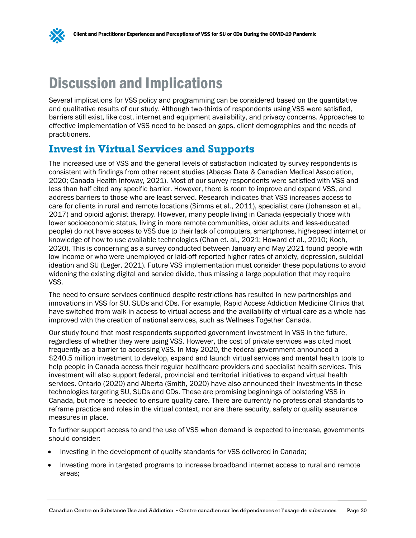# <span id="page-23-0"></span>Discussion and Implications

Several implications for VSS policy and programming can be considered based on the quantitative and qualitative results of our study. Although two-thirds of respondents using VSS were satisfied, barriers still exist, like cost, internet and equipment availability, and privacy concerns. Approaches to effective implementation of VSS need to be based on gaps, client demographics and the needs of practitioners.

# <span id="page-23-1"></span>**Invest in Virtual Services and Supports**

The increased use of VSS and the general levels of satisfaction indicated by survey respondents is consistent with findings from other recent studies (Abacas Data & Canadian Medical Association, 2020; Canada Health Infoway, 2021). Most of our survey respondents were satisfied with VSS and less than half cited any specific barrier. However, there is room to improve and expand VSS, and address barriers to those who are least served. Research indicates that VSS increases access to care for clients in rural and remote locations (Simms et al., 2011), specialist care (Johansson et al., 2017) and opioid agonist therapy. However, many people living in Canada (especially those with lower socioeconomic status, living in more remote communities, older adults and less-educated people) do not have access to VSS due to their lack of computers, smartphones, high-speed internet or knowledge of how to use available technologies (Chan et. al., 2021; Howard et al., 2010; Koch, 2020). This is concerning as a survey conducted between January and May 2021 found people with low income or who were unemployed or laid-off reported higher rates of anxiety, depression, suicidal ideation and SU (Leger, 2021). Future VSS implementation must consider these populations to avoid widening the existing digital and service divide, thus missing a large population that may require VSS.

The need to ensure services continued despite restrictions has resulted in new partnerships and innovations in VSS for SU, SUDs and CDs. For example, Rapid Access Addiction Medicine Clinics that have switched from walk-in access to virtual access and the availability of virtual care as a whole has improved with the creation of national services, such as Wellness Together Canada.

Our study found that most respondents supported government investment in VSS in the future, regardless of whether they were using VSS. However, the cost of private services was cited most frequently as a barrier to accessing VSS. In May 2020, the federal government announced a \$240.5 million investment to develop, expand and launch virtual services and mental health tools to help people in Canada access their regular healthcare providers and specialist health services. This investment will also support federal, provincial and territorial initiatives to expand virtual health services. Ontario (2020) and Alberta (Smith, 2020) have also announced their investments in these technologies targeting SU, SUDs and CDs. These are promising beginnings of bolstering VSS in Canada, but more is needed to ensure quality care. There are currently no professional standards to reframe practice and roles in the virtual context, nor are there security, safety or quality assurance measures in place.

To further support access to and the use of VSS when demand is expected to increase, governments should consider:

- Investing in the development of quality standards for VSS delivered in Canada;
- Investing more in targeted programs to increase broadband internet access to rural and remote areas;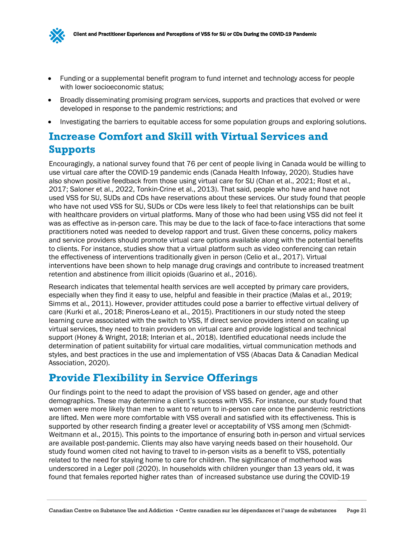

- Funding or a supplemental benefit program to fund internet and technology access for people with lower socioeconomic status;
- Broadly disseminating promising program services, supports and practices that evolved or were developed in response to the pandemic restrictions; and
- Investigating the barriers to equitable access for some population groups and exploring solutions.

# <span id="page-24-0"></span>**Increase Comfort and Skill with Virtual Services and Supports**

Encouragingly, a national survey found that 76 per cent of people living in Canada would be willing to use virtual care after the COVID-19 pandemic ends (Canada Health Infoway, 2020). Studies have also shown positive feedback from those using virtual care for SU (Chan et al., 2021; Rost et al., 2017; Saloner et al., 2022, Tonkin-Crine et al., 2013). That said, people who have and have not used VSS for SU, SUDs and CDs have reservations about these services. Our study found that people who have not used VSS for SU, SUDs or CDs were less likely to feel that relationships can be built with healthcare providers on virtual platforms. Many of those who had been using VSS did not feel it was as effective as in-person care. This may be due to the lack of face-to-face interactions that some practitioners noted was needed to develop rapport and trust. Given these concerns, policy makers and service providers should promote virtual care options available along with the potential benefits to clients. For instance, studies show that a virtual platform such as video conferencing can retain the effectiveness of interventions traditionally given in person (Celio et al., 2017). Virtual interventions have been shown to help manage drug cravings and contribute to increased treatment retention and abstinence from illicit opioids (Guarino et al., 2016).

Research indicates that telemental health services are well accepted by primary care providers, especially when they find it easy to use, helpful and feasible in their practice (Malas et al., 2019; Simms et al., 2011). However, provider attitudes could pose a barrier to effective virtual delivery of care (Kurki et al., 2018; Pineros-Leano et al., 2015). Practitioners in our study noted the steep learning curve associated with the switch to VSS, If direct service providers intend on scaling up virtual services, they need to train providers on virtual care and provide logistical and technical support (Honey & Wright, 2018; Interian et al., 2018). Identified educational needs include the determination of patient suitability for virtual care modalities, virtual communication methods and styles, and best practices in the use and implementation of VSS (Abacas Data & Canadian Medical Association, 2020).

# <span id="page-24-1"></span>**Provide Flexibility in Service Offerings**

Our findings point to the need to adapt the provision of VSS based on gender, age and other demographics. These may determine a client's success with VSS. For instance, our study found that women were more likely than men to want to return to in-person care once the pandemic restrictions are lifted. Men were more comfortable with VSS overall and satisfied with its effectiveness. This is supported by other research finding a greater level or acceptability of VSS among men (Schmidt-Weitmann et al., 2015). This points to the importance of ensuring both in-person and virtual services are available post-pandemic. Clients may also have varying needs based on their household. Our study found women cited not having to travel to in-person visits as a benefit to VSS, potentially related to the need for staying home to care for children. The significance of motherhood was underscored in a Leger poll (2020). In households with children younger than 13 years old, it was found that females reported higher rates than of increased substance use during the COVID-19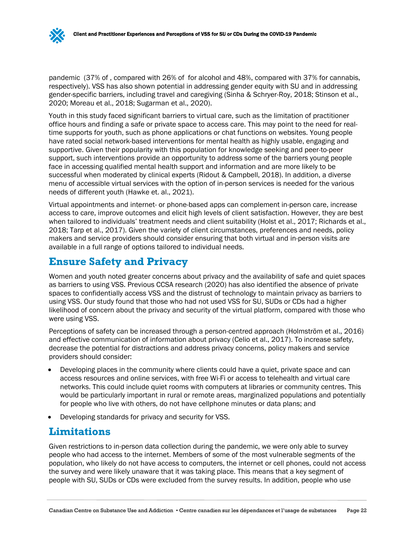pandemic (37% of , compared with 26% of for alcohol and 48%, compared with 37% for cannabis, respectively). VSS has also shown potential in addressing gender equity with SU and in addressing gender-specific barriers, including travel and caregiving (Sinha & Schryer-Roy, 2018; Stinson et al., 2020; Moreau et al., 2018; Sugarman et al., 2020).

Youth in this study faced significant barriers to virtual care, such as the limitation of practitioner office hours and finding a safe or private space to access care. This may point to the need for realtime supports for youth, such as phone applications or chat functions on websites. Young people have rated social network-based interventions for mental health as highly usable, engaging and supportive. Given their popularity with this population for knowledge seeking and peer-to-peer support, such interventions provide an opportunity to address some of the barriers young people face in accessing qualified mental health support and information and are more likely to be successful when moderated by clinical experts (Ridout & Campbell, 2018). In addition, a diverse menu of accessible virtual services with the option of in-person services is needed for the various needs of different youth (Hawke et. al., 2021).

Virtual appointments and internet- or phone-based apps can complement in-person care, increase access to care, improve outcomes and elicit high levels of client satisfaction. However, they are best when tailored to individuals' treatment needs and client suitability (Holst et al., 2017; Richards et al., 2018; Tarp et al., 2017). Given the variety of client circumstances, preferences and needs, policy makers and service providers should consider ensuring that both virtual and in-person visits are available in a full range of options tailored to individual needs.

# <span id="page-25-0"></span>**Ensure Safety and Privacy**

Women and youth noted greater concerns about privacy and the availability of safe and quiet spaces as barriers to using VSS. Previous CCSA research (2020) has also identified the absence of private spaces to confidentially access VSS and the distrust of technology to maintain privacy as barriers to using VSS. Our study found that those who had not used VSS for SU, SUDs or CDs had a higher likelihood of concern about the privacy and security of the virtual platform, compared with those who were using VSS.

Perceptions of safety can be increased through a person-centred approach (Holmström et al., 2016) and effective communication of information about privacy (Celio et al., 2017). To increase safety, decrease the potential for distractions and address privacy concerns, policy makers and service providers should consider:

- Developing places in the community where clients could have a quiet, private space and can access resources and online services, with free Wi-Fi or access to telehealth and virtual care networks. This could include quiet rooms with computers at libraries or community centres. This would be particularly important in rural or remote areas, marginalized populations and potentially for people who live with others, do not have cellphone minutes or data plans; and
- Developing standards for privacy and security for VSS.

# <span id="page-25-1"></span>**Limitations**

Given restrictions to in-person data collection during the pandemic, we were only able to survey people who had access to the internet. Members of some of the most vulnerable segments of the population, who likely do not have access to computers, the internet or cell phones, could not access the survey and were likely unaware that it was taking place. This means that a key segment of people with SU, SUDs or CDs were excluded from the survey results. In addition, people who use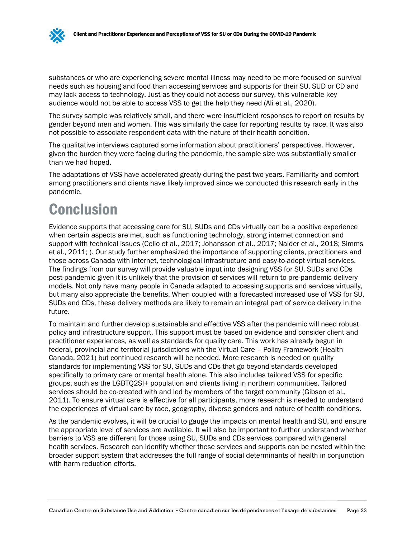substances or who are experiencing severe mental illness may need to be more focused on survival needs such as housing and food than accessing services and supports for their SU, SUD or CD and may lack access to technology. Just as they could not access our survey, this vulnerable key audience would not be able to access VSS to get the help they need (Ali et al., 2020).

The survey sample was relatively small, and there were insufficient responses to report on results by gender beyond men and women. This was similarly the case for reporting results by race. It was also not possible to associate respondent data with the nature of their health condition.

The qualitative interviews captured some information about practitioners' perspectives. However, given the burden they were facing during the pandemic, the sample size was substantially smaller than we had hoped.

The adaptations of VSS have accelerated greatly during the past two years. Familiarity and comfort among practitioners and clients have likely improved since we conducted this research early in the pandemic.

# <span id="page-26-0"></span>Conclusion

Evidence supports that accessing care for SU, SUDs and CDs virtually can be a positive experience when certain aspects are met, such as functioning technology, strong internet connection and support with technical issues (Celio et al., 2017; Johansson et al., 2017; Nalder et al., 2018; Simms et al., 2011; ). Our study further emphasized the importance of supporting clients, practitioners and those across Canada with internet, technological infrastructure and easy-to-adopt virtual services. The findings from our survey will provide valuable input into designing VSS for SU, SUDs and CDs post-pandemic given it is unlikely that the provision of services will return to pre-pandemic delivery models. Not only have many people in Canada adapted to accessing supports and services virtually, but many also appreciate the benefits. When coupled with a forecasted increased use of VSS for SU, SUDs and CDs, these delivery methods are likely to remain an integral part of service delivery in the future.

To maintain and further develop sustainable and effective VSS after the pandemic will need robust policy and infrastructure support. This support must be based on evidence and consider client and practitioner experiences, as well as standards for quality care. This work has already begun in federal, provincial and territorial jurisdictions with the Virtual Care – Policy Framework (Health Canada, 2021) but continued research will be needed. More research is needed on quality standards for implementing VSS for SU, SUDs and CDs that go beyond standards developed specifically to primary care or mental health alone. This also includes tailored VSS for specific groups, such as the LGBTQ2SI+ population and clients living in northern communities. Tailored services should be co-created with and led by members of the target community (Gibson et al., 2011). To ensure virtual care is effective for all participants, more research is needed to understand the experiences of virtual care by race, geography, diverse genders and nature of health conditions.

As the pandemic evolves, it will be crucial to gauge the impacts on mental health and SU, and ensure the appropriate level of services are available. It will also be important to further understand whether barriers to VSS are different for those using SU, SUDs and CDs services compared with general health services. Research can identify whether these services and supports can be nested within the broader support system that addresses the full range of social determinants of health in conjunction with harm reduction efforts.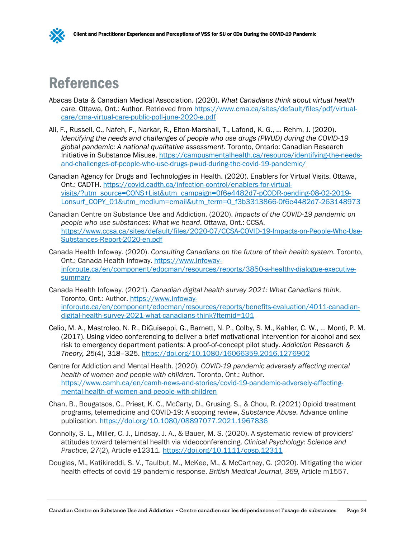

# <span id="page-27-0"></span>References

- Abacas Data & Canadian Medical Association. (2020). *What Canadians think about virtual health*  care. Ottawa, Ont.: Author. Retrieved from [https://www.cma.ca/sites/default/files/pdf/virtual](https://www.cma.ca/sites/default/files/pdf/virtual-care/cma-virtual-care-public-poll-june-2020-e.pdf)[care/cma-virtual-care-public-poll-june-2020-e.pdf](https://www.cma.ca/sites/default/files/pdf/virtual-care/cma-virtual-care-public-poll-june-2020-e.pdf)
- Ali, F., Russell, C., Nafeh, F., Narkar, R., Elton-Marshall, T., Lafond, K. G., … Rehm, J. (2020). *Identifying the needs and challenges of people who use drugs (PWUD) during the COVID-19 global pandemic: A national qualitative assessment*. Toronto, Ontario: Canadian Research Initiative in Substance Misuse. [https://campusmentalhealth.ca/resource/identifying-the-needs](https://campusmentalhealth.ca/resource/identifying-the-needs-and-challenges-of-people-who-use-drugs-pwud-during-the-covid-19-pandemic/)[and-challenges-of-people-who-use-drugs-pwud-during-the-covid-19-pandemic/](https://campusmentalhealth.ca/resource/identifying-the-needs-and-challenges-of-people-who-use-drugs-pwud-during-the-covid-19-pandemic/)
- Canadian Agency for Drugs and Technologies in Health. (2020). Enablers for Virtual Visits. Ottawa, Ont.: CADTH. [https://covid.cadth.ca/infection-control/enablers-for-virtual](https://covid.cadth.ca/infection-control/enablers-for-virtual-visits/?utm_source=CONS+List&utm_campaign=0f6e4482d7-pCODR-pending-08-02-2019-Lonsurf_COPY_01&utm_medium=email&utm_term=0_f3b3313866-0f6e4482d7-263148973)[visits/?utm\\_source=CONS+List&utm\\_campaign=0f6e4482d7-pCODR-pending-08-02-2019-](https://covid.cadth.ca/infection-control/enablers-for-virtual-visits/?utm_source=CONS+List&utm_campaign=0f6e4482d7-pCODR-pending-08-02-2019-Lonsurf_COPY_01&utm_medium=email&utm_term=0_f3b3313866-0f6e4482d7-263148973) [Lonsurf\\_COPY\\_01&utm\\_medium=email&utm\\_term=0\\_f3b3313866-0f6e4482d7-263148973](https://covid.cadth.ca/infection-control/enablers-for-virtual-visits/?utm_source=CONS+List&utm_campaign=0f6e4482d7-pCODR-pending-08-02-2019-Lonsurf_COPY_01&utm_medium=email&utm_term=0_f3b3313866-0f6e4482d7-263148973)
- Canadian Centre on Substance Use and Addiction. (2020). *Impacts of the COVID-19 pandemic on people who use substances: What we heard*. Ottawa, Ont.: CCSA. [https://www.ccsa.ca/sites/default/files/2020-07/CCSA-COVID-19-Impacts-on-People-Who-Use-](https://www.ccsa.ca/sites/default/files/2020-07/CCSA-COVID-19-Impacts-on-People-Who-Use-Substances-Report-2020-en.pdf)[Substances-Report-2020-en.pdf](https://www.ccsa.ca/sites/default/files/2020-07/CCSA-COVID-19-Impacts-on-People-Who-Use-Substances-Report-2020-en.pdf)
- Canada Health Infoway. (2020). *Consulting Canadians on the future of their health system.* Toronto, Ont.: Canada Health Infoway. [https://www.infoway](https://www.infoway-inforoute.ca/en/component/edocman/resources/reports/3850-a-healthy-dialogue-executive-summary)[inforoute.ca/en/component/edocman/resources/reports/3850-a-healthy-dialogue-executive](https://www.infoway-inforoute.ca/en/component/edocman/resources/reports/3850-a-healthy-dialogue-executive-summary)[summary](https://www.infoway-inforoute.ca/en/component/edocman/resources/reports/3850-a-healthy-dialogue-executive-summary)
- Canada Health Infoway. (2021). *Canadian digital health survey 2021: What Canadians think*. Toronto, Ont.: Author. [https://www.infoway](https://www.infoway-inforoute.ca/en/component/edocman/resources/reports/benefits-evaluation/4011-canadian-digital-health-survey-2021-what-canadians-think?Itemid=101)[inforoute.ca/en/component/edocman/resources/reports/benefits-evaluation/4011-canadian](https://www.infoway-inforoute.ca/en/component/edocman/resources/reports/benefits-evaluation/4011-canadian-digital-health-survey-2021-what-canadians-think?Itemid=101)[digital-health-survey-2021-what-canadians-think?Itemid=101](https://www.infoway-inforoute.ca/en/component/edocman/resources/reports/benefits-evaluation/4011-canadian-digital-health-survey-2021-what-canadians-think?Itemid=101)
- Celio, M. A., Mastroleo, N. R., DiGuiseppi, G., Barnett, N. P., Colby, S. M., Kahler, C. W., … Monti, P. M. (2017). Using video conferencing to deliver a brief motivational intervention for alcohol and sex risk to emergency department patients: A proof-of-concept pilot study. *Addiction Research & Theory, 25*(4), 318–325.<https://doi.org/10.1080/16066359.2016.1276902>
- Centre for Addiction and Mental Health. (2020). *COVID-19 pandemic adversely affecting mental health of women and people with children*. Toronto, Ont.: Author. [https://www.camh.ca/en/camh-news-and-stories/covid-19-pandemic-adversely-affecting](https://www.camh.ca/en/camh-news-and-stories/covid-19-pandemic-adversely-affecting-mental-health-of-women-and-people-with-children)[mental-health-of-women-and-people-with-children](https://www.camh.ca/en/camh-news-and-stories/covid-19-pandemic-adversely-affecting-mental-health-of-women-and-people-with-children)
- Chan, B., Bougatsos, C., Priest, K. C., McCarty, D., Grusing, S., & Chou, R. (2021) Opioid treatment programs, telemedicine and COVID-19: A scoping review, *Substance Abuse.* Advance online publication.<https://doi.org/10.1080/08897077.2021.1967836>
- Connolly, S. L., Miller, C. J., Lindsay, J. A., & Bauer, M. S. (2020). A systematic review of providers' attitudes toward telemental health via videoconferencing. *Clinical Psychology: Science and Practice*, *27*(2), Article e12311.<https://doi.org/10.1111/cpsp.12311>
- Douglas, M., Katikireddi, S. V., Taulbut, M., McKee, M., & McCartney, G. (2020). Mitigating the wider health effects of covid-19 pandemic response. *British Medical Journal*, *369,* Article m1557.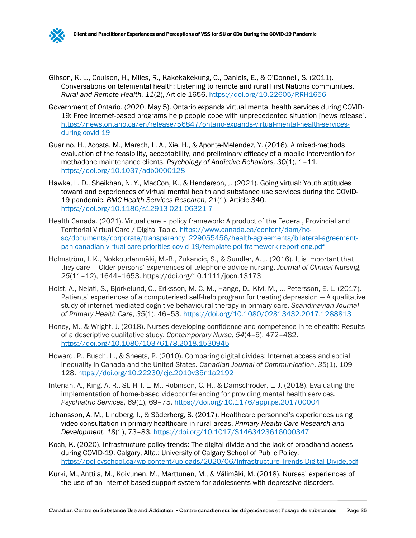

- Gibson, K. L., Coulson, H., Miles, R., Kakekakekung, C., Daniels, E., & O'Donnell, S. (2011). Conversations on telemental health: Listening to remote and rural First Nations communities. *Rural and Remote Health, 11*(2), Article 1656.<https://doi.org/10.22605/RRH1656>
- Government of Ontario. (2020, May 5). Ontario expands virtual mental health services during COVID-19: Free internet-based programs help people cope with unprecedented situation [news release]. [https://news.ontario.ca/en/release/56847/ontario-expands-virtual-mental-health-services](https://news.ontario.ca/en/release/56847/ontario-expands-virtual-mental-health-services-during-covid-19)[during-covid-19](https://news.ontario.ca/en/release/56847/ontario-expands-virtual-mental-health-services-during-covid-19)
- Guarino, H., Acosta, M., Marsch, L. A., Xie, H., & Aponte-Melendez, Y. (2016). A mixed-methods evaluation of the feasibility, acceptability, and preliminary efficacy of a mobile intervention for methadone maintenance clients. *Psychology of Addictive Behaviors, 30*(1), 1–11. <https://doi.org/10.1037/adb0000128>
- Hawke, L. D., Sheikhan, N. Y., MacCon, K., & Henderson, J. (2021). Going virtual: Youth attitudes toward and experiences of virtual mental health and substance use services during the COVID-19 pandemic. *BMC Health Services Research, 21*(1), Article 340. <https://doi.org/10.1186/s12913-021-06321-7>
- Health Canada. (2021). Virtual care policy framework: A product of the Federal, Provincial and Territorial Virtual Care / Digital Table. [https://www.canada.ca/content/dam/hc](https://www.canada.ca/content/dam/hc-sc/documents/corporate/transparency_229055456/health-agreements/bilateral-agreement-pan-canadian-virtual-care-priorities-covid-19/template-pol-framework-report-eng.pdf)[sc/documents/corporate/transparency\\_229055456/health-agreements/bilateral-agreement](https://www.canada.ca/content/dam/hc-sc/documents/corporate/transparency_229055456/health-agreements/bilateral-agreement-pan-canadian-virtual-care-priorities-covid-19/template-pol-framework-report-eng.pdf)[pan-canadian-virtual-care-priorities-covid-19/template-pol-framework-report-eng.pdf](https://www.canada.ca/content/dam/hc-sc/documents/corporate/transparency_229055456/health-agreements/bilateral-agreement-pan-canadian-virtual-care-priorities-covid-19/template-pol-framework-report-eng.pdf)
- Holmström, I. K., Nokkoudenmäki, M.-B., Zukancic, S., & Sundler, A. J. (2016). It is important that they care — Older persons' experiences of telephone advice nursing. *Journal of Clinical Nursing*, *25*(11–12), 1644–1653. https://doi.org/10.1111/jocn.13173
- Holst, A., Nejati, S., Björkelund, C., Eriksson, M. C. M., Hange, D., Kivi, M., … Petersson, E.-L. (2017). Patients' experiences of a computerised self-help program for treating depression — A qualitative study of internet mediated cognitive behavioural therapy in primary care. *Scandinavian Journal of Primary Health Care*, *35*(1), 46–53.<https://doi.org/10.1080/02813432.2017.1288813>
- Honey, M., & Wright, J. (2018). Nurses developing confidence and competence in telehealth: Results of a descriptive qualitative study. *Contemporary Nurse*, *54*(4–5), 472–482. <https://doi.org/10.1080/10376178.2018.1530945>
- Howard, P., Busch, L., & Sheets, P. (2010). Comparing digital divides: Internet access and social inequality in Canada and the United States. *Canadian Journal of Communication*, *35*(1), 109– 128.<https://doi.org/10.22230/cjc.2010v35n1a2192>
- Interian, A., King, A. R., St. Hill, L. M., Robinson, C. H., & Damschroder, L. J. (2018). Evaluating the implementation of home-based videoconferencing for providing mental health services. *Psychiatric Services*, *69*(1), 69–75.<https://doi.org/10.1176/appi.ps.201700004>
- Johansson, A. M., Lindberg, I., & Söderberg, S. (2017). Healthcare personnel's experiences using video consultation in primary healthcare in rural areas. *Primary Health Care Research and Development*, *18*(1), 73–83.<https://doi.org/10.1017/S1463423616000347>
- Koch, K. (2020). Infrastructure policy trends: The digital divide and the lack of broadband access during COVID-19. Calgary, Alta.: University of Calgary School of Public Policy. <https://policyschool.ca/wp-content/uploads/2020/06/Infrastructure-Trends-Digital-Divide.pdf>
- Kurki, M., Anttila, M., Koivunen, M., Marttunen, M., & Välimäki, M. (2018). Nurses' experiences of the use of an internet-based support system for adolescents with depressive disorders.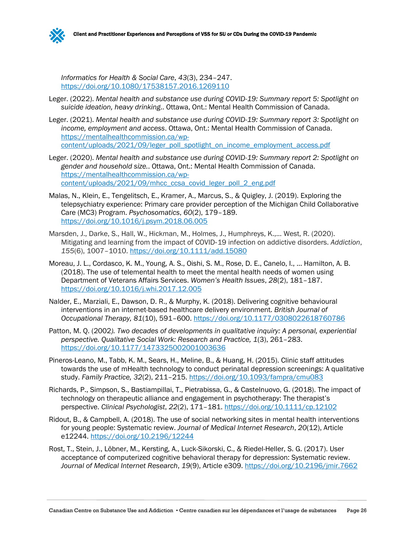

*Informatics for Health & Social Care*, *43*(3), 234–247. <https://doi.org/10.1080/17538157.2016.1269110>

- Leger. (2022). *Mental health and substance use during COVID-19: Summary report 5: Spotlight on suicide ideation, heavy drinking*.. Ottawa, Ont.: Mental Health Commission of Canada.
- Leger. (2021). *Mental health and substance use during COVID-19: Summary report 3: Spotlight on income, employment and access*. Ottawa, Ont.: Mental Health Commission of Canada. [https://mentalhealthcommission.ca/wp](https://mentalhealthcommission.ca/wp-content/uploads/2021/09/leger_poll_spotlight_on_income_employment_access.pdf)[content/uploads/2021/09/leger\\_poll\\_spotlight\\_on\\_income\\_employment\\_access.pdf](https://mentalhealthcommission.ca/wp-content/uploads/2021/09/leger_poll_spotlight_on_income_employment_access.pdf)
- Leger. (2020). *Mental health and substance use during COVID-19: Summary report 2: Spotlight on gender and household size.*. Ottawa, Ont.: Mental Health Commission of Canada. [https://mentalhealthcommission.ca/wp](https://mentalhealthcommission.ca/wp-content/uploads/2021/09/mhcc_ccsa_covid_leger_poll_2_eng.pdf)[content/uploads/2021/09/mhcc\\_ccsa\\_covid\\_leger\\_poll\\_2\\_eng.pdf](https://mentalhealthcommission.ca/wp-content/uploads/2021/09/mhcc_ccsa_covid_leger_poll_2_eng.pdf)
- Malas, N., Klein, E., Tengelitsch, E., Kramer, A., Marcus, S., & Quigley, J. (2019). Exploring the telepsychiatry experience: Primary care provider perception of the Michigan Child Collaborative Care (MC3) Program. *Psychosomatics*, *60*(2), 179–189. <https://doi.org/10.1016/j.psym.2018.06.005>
- Marsden, J., Darke, S., Hall, W., Hickman, M., Holmes, J., Humphreys, K.,... West, R. (2020). Mitigating and learning from the impact of COVID‐19 infection on addictive disorders. *Addiction*, *155*(6), 1007–1010. <https://doi.org/10.1111/add.15080>
- Moreau, J. L., Cordasco, K. M., Young, A. S., Oishi, S. M., Rose, D. E., Canelo, I., … Hamilton, A. B. (2018). The use of telemental health to meet the mental health needs of women using Department of Veterans Affairs Services. *Women's Health Issues*, *28*(2), 181–187. <https://doi.org/10.1016/j.whi.2017.12.005>
- Nalder, E., Marziali, E., Dawson, D. R., & Murphy, K. (2018). Delivering cognitive behavioural interventions in an internet-based healthcare delivery environment. *British Journal of Occupational Therapy, 81*(10), 591–600.<https://doi.org/10.1177/0308022618760786>
- Patton, M. Q. (2002*). Two decades of developments in qualitative inquiry: A personal, experiential perspective. Qualitative Social Work: Research and Practice, 1*(3), 261–283. <https://doi.org/10.1177/1473325002001003636>
- Pineros-Leano, M., Tabb, K. M., Sears, H., Meline, B., & Huang, H. (2015). Clinic staff attitudes towards the use of mHealth technology to conduct perinatal depression screenings: A qualitative study. *Family Practice, 32*(2), 211–215.<https://doi.org/10.1093/fampra/cmu083>
- Richards, P., Simpson, S., Bastiampillai, T., Pietrabissa, G., & Castelnuovo, G. (2018). The impact of technology on therapeutic alliance and engagement in psychotherapy: The therapist's perspective. *Clinical Psychologist*, *22*(2), 171–181.<https://doi.org/10.1111/cp.12102>
- Ridout, B., & Campbell, A. (2018). The use of social networking sites in mental health interventions for young people: Systematic review. *Journal of Medical Internet Research*, *20*(12), Article e12244.<https://doi.org/10.2196/12244>
- Rost, T., Stein, J., Löbner, M., Kersting, A., Luck-Sikorski, C., & Riedel-Heller, S. G. (2017). User acceptance of computerized cognitive behavioral therapy for depression: Systematic review. *Journal of Medical Internet Research*, *19*(9), Article e309.<https://doi.org/10.2196/jmir.7662>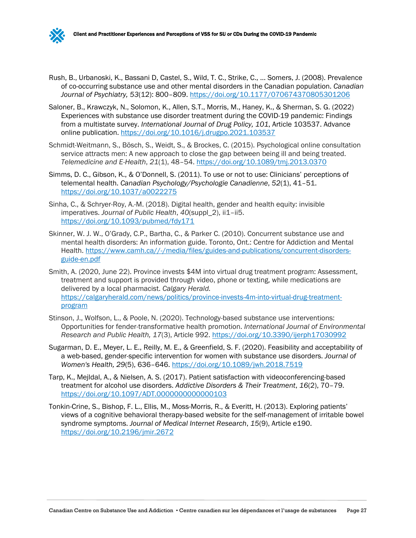

- Saloner, B., Krawczyk, N., Solomon, K., Allen, S.T., Morris, M., Haney, K., & Sherman, S. G. (2022) Experiences with substance use disorder treatment during the COVID-19 pandemic: Findings from a multistate survey. *International Journal of Drug Policy, 101*, Article 103537. Advance online publication.<https://doi.org/10.1016/j.drugpo.2021.103537>
- Schmidt-Weitmann, S., Bösch, S., Weidt, S., & Brockes, C. (2015). Psychological online consultation service attracts men: A new approach to close the gap between being ill and being treated. *Telemedicine and E-Health*, *21*(1), 48–54.<https://doi.org/10.1089/tmj.2013.0370>
- Simms, D. C., Gibson, K., & O'Donnell, S. (2011). To use or not to use: Clinicians' perceptions of telemental health. *Canadian Psychology/Psychologie Canadienne*, *52*(1), 41–51. <https://doi.org/10.1037/a0022275>
- Sinha, C., & Schryer-Roy, A.-M. (2018). Digital health, gender and health equity: invisible imperatives. *Journal of Public Health*, *40*(suppl\_2), ii1–ii5. <https://doi.org/10.1093/pubmed/fdy171>
- Skinner, W. J. W., O'Grady, C.P., Bartha, C., & Parker C. (2010). Concurrent substance use and mental health disorders: An information guide. Toronto, Ont.: Centre for Addiction and Mental Health. [https://www.camh.ca//-/media/files/guides-and-publications/concurrent-disorders](https://www.camh.ca/-/media/files/guides-and-publications/concurrent-disorders-guide-en.pdf)[guide-en.pdf](https://www.camh.ca/-/media/files/guides-and-publications/concurrent-disorders-guide-en.pdf)
- Smith, A. (2020, June 22). Province invests \$4M into virtual drug treatment program: Assessment, treatment and support is provided through video, phone or texting, while medications are delivered by a local pharmacist. *Calgary Herald.*  [https://calgaryherald.com/news/politics/province-invests-4m-into-virtual-drug-treatment](https://calgaryherald.com/news/politics/province-invests-4m-into-virtual-drug-treatment-program)[program](https://calgaryherald.com/news/politics/province-invests-4m-into-virtual-drug-treatment-program)
- Stinson, J., Wolfson, L., & Poole, N. (2020). Technology-based substance use interventions: Opportunities for fender-transformative health promotion. *International Journal of Environmental Research and Public Health, 17*(3), Article 992.<https://doi.org/10.3390/ijerph17030992>
- Sugarman, D. E., Meyer, L. E., Reilly, M. E., & Greenfield, S. F. (2020). Feasibility and acceptability of a web-based, gender-specific intervention for women with substance use disorders. *Journal of Women's Health, 29*(5), 636–646.<https://doi.org/10.1089/jwh.2018.7519>
- Tarp, K., Mejldal, A., & Nielsen, A. S. (2017). Patient satisfaction with videoconferencing-based treatment for alcohol use disorders. *Addictive Disorders & Their Treatment*, *16*(2), 70–79. <https://doi.org/10.1097/ADT.0000000000000103>
- Tonkin-Crine, S., Bishop, F. L., Ellis, M., Moss-Morris, R., & Everitt, H. (2013). Exploring patients' views of a cognitive behavioral therapy-based website for the self-management of irritable bowel syndrome symptoms. *Journal of Medical Internet Research*, *15*(9), Article e190. <https://doi.org/10.2196/jmir.2672>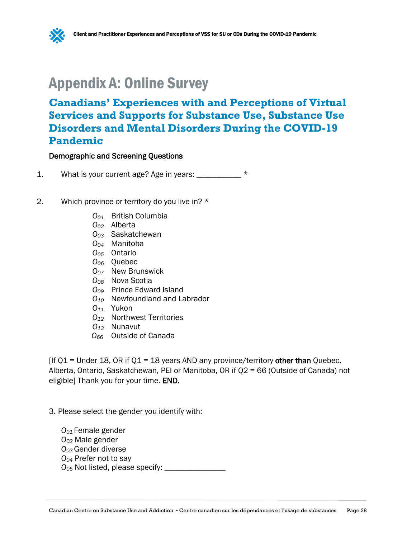

# <span id="page-31-0"></span>Appendix A: Online Survey

# **Canadians' Experiences with and Perceptions of Virtual Services and Supports for Substance Use, Substance Use Disorders and Mental Disorders During the COVID-19 Pandemic**

#### Demographic and Screening Questions

- 1. What is your current age? Age in years: \_\_\_\_\_\_\_\_\_\_\_ \*
- 2. Which province or territory do you live in? \*
	- *O01* British Columbia
	- *O02* Alberta
	- *O03* Saskatchewan
	- *O04* Manitoba
	- *O05* Ontario
	- *O06* Quebec
	- *O07* New Brunswick
	- *O08* Nova Scotia
	- *O09* Prince Edward Island
	- *O10* Newfoundland and Labrador
	- *O11* Yukon
	- *O12* Northwest Territories
	- *O13* Nunavut
	- *O66* Outside of Canada

 $[If Q1 = Under 18, OR if Q1 = 18 years AND any province/territory other than Quebec,$ Alberta, Ontario, Saskatchewan, PEI or Manitoba, OR if Q2 = 66 (Outside of Canada) not eligible] Thank you for your time. END.

- 3. Please select the gender you identify with:
	- *O01* Female gender *O02* Male gender *O03* Gender diverse *O04* Prefer not to say *O05* Not listed, please specify: \_\_\_\_\_\_\_\_\_\_\_\_\_\_\_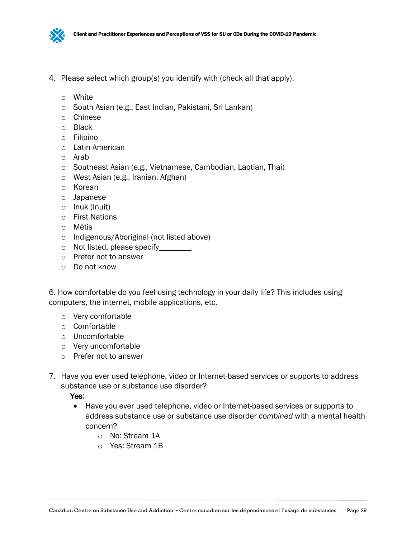

- 4. Please select which group(s) you identify with (check all that apply).
	- o White
	- o South Asian (e.g., East Indian, Pakistani, Sri Lankan)
	- o Chinese
	- o Black
	- o Filipino
	- o Latin American
	- o Arab
	- o Southeast Asian (e.g., Vietnamese, Cambodian, Laotian, Thai)
	- o West Asian (e.g., Iranian, Afghan)
	- o Korean
	- o Japanese
	- o Inuk (Inuit)
	- o First Nations
	- o Métis
	- o Indigenous/Aboriginal (not listed above)
	- o Not listed, please specify\_\_\_\_\_\_\_\_
	- o Prefer not to answer
	- o Do not know

6. How comfortable do you feel using technology in your daily life? This includes using computers, the internet, mobile applications, etc.

- o Very comfortable
- o Comfortable
- o Uncomfortable
- o Very uncomfortable
- o Prefer not to answer
- 7. Have you ever used telephone, video or Internet-based services or supports to address substance use or substance use disorder?

Yes:

- Have you ever used telephone, video or Internet-based services or supports to address substance use or substance use disorder *combined* with a mental health concern?
	- o No: Stream 1A
	- o Yes: Stream 1B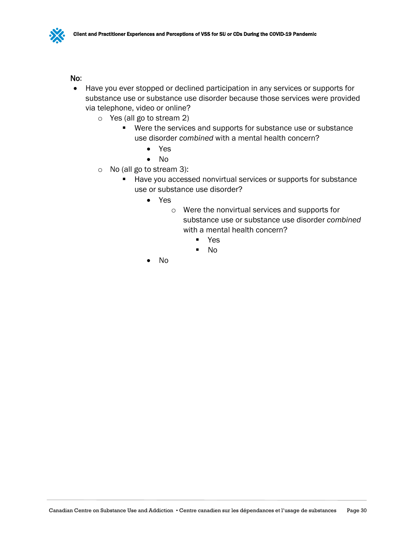## No:

- Have you ever stopped or declined participation in any services or supports for substance use or substance use disorder because those services were provided via telephone, video or online?
	- o Yes (all go to stream 2)
		- Were the services and supports for substance use or substance use disorder *combined* with a mental health concern?
			- Yes
			- No
	- o No (all go to stream 3):
		- Have you accessed nonvirtual services or supports for substance use or substance use disorder?
			- Yes
				- o Were the nonvirtual services and supports for substance use or substance use disorder *combined* with a mental health concern?
					- Yes
					- No
			- No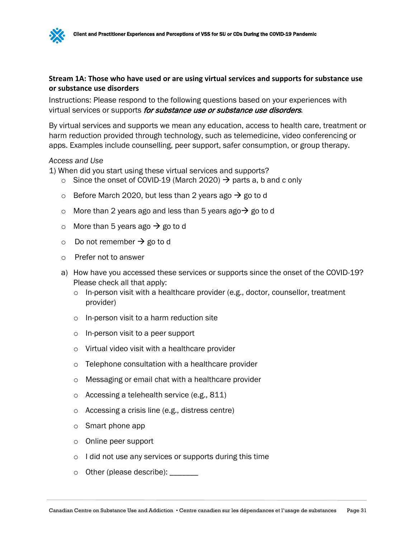## **Stream 1A: Those who have used or are using virtual services and supports for substance use or substance use disorders**

Instructions: Please respond to the following questions based on your experiences with virtual services or supports for substance use or substance use disorders.

By virtual services and supports we mean any education, access to health care, treatment or harm reduction provided through technology, such as telemedicine, video conferencing or apps. Examples include counselling, peer support, safer consumption, or group therapy.

#### *Access and Use*

1) When did you start using these virtual services and supports?

- o Since the onset of COVID-19 (March 2020)  $\rightarrow$  parts a, b and c only
- o Before March 2020, but less than 2 years ago  $\rightarrow$  go to d
- o More than 2 years ago and less than 5 years ago  $\rightarrow$  go to d
- o More than 5 years ago  $\rightarrow$  go to d
- $\circ$  Do not remember  $\rightarrow$  go to d
- o Prefer not to answer
- a) How have you accessed these services or supports since the onset of the COVID-19? Please check all that apply:
	- $\circ$  In-person visit with a healthcare provider (e.g., doctor, counsellor, treatment provider)
	- o In-person visit to a harm reduction site
	- o In-person visit to a peer support
	- o Virtual video visit with a healthcare provider
	- o Telephone consultation with a healthcare provider
	- o Messaging or email chat with a healthcare provider
	- o Accessing a telehealth service (e.g., 811)
	- o Accessing a crisis line (e.g., distress centre)
	- o Smart phone app
	- o Online peer support
	- o I did not use any services or supports during this time
	- o Other (please describe): \_\_\_\_\_\_\_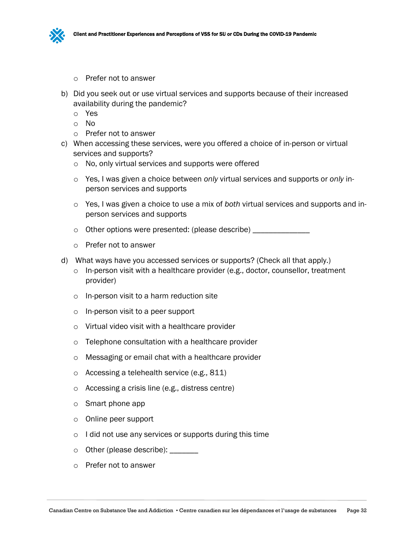

- o Prefer not to answer
- b) Did you seek out or use virtual services and supports because of their increased availability during the pandemic?
	- o Yes
	- o No
	- o Prefer not to answer
- c) When accessing these services, were you offered a choice of in-person or virtual services and supports?
	- o No, only virtual services and supports were offered
	- o Yes, I was given a choice between *only* virtual services and supports or *only* inperson services and supports
	- o Yes, I was given a choice to use a mix of *both* virtual services and supports and inperson services and supports
	- o Other options were presented: (please describe) \_\_\_\_\_\_\_\_\_\_\_\_\_\_\_
	- o Prefer not to answer
- d) What ways have you accessed services or supports? (Check all that apply.)
	- $\circ$  In-person visit with a healthcare provider (e.g., doctor, counsellor, treatment provider)
	- o In-person visit to a harm reduction site
	- o In-person visit to a peer support
	- o Virtual video visit with a healthcare provider
	- o Telephone consultation with a healthcare provider
	- o Messaging or email chat with a healthcare provider
	- o Accessing a telehealth service (e.g., 811)
	- o Accessing a crisis line (e.g., distress centre)
	- o Smart phone app
	- o Online peer support
	- o I did not use any services or supports during this time
	- $\circ$  Other (please describe):
	- o Prefer not to answer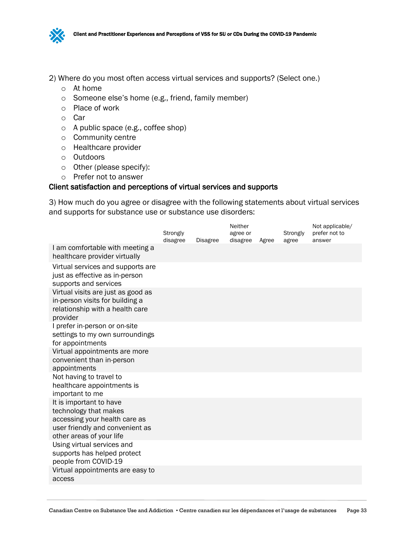

- 2) Where do you most often access virtual services and supports? (Select one.)
	- o At home
	- o Someone else's home (e.g., friend, family member)
	- o Place of work
	- o Car
	- o A public space (e.g., coffee shop)
	- o Community centre
	- o Healthcare provider
	- o Outdoors
	- o Other (please specify):
	- o Prefer not to answer

#### Client satisfaction and perceptions of virtual services and supports

3) How much do you agree or disagree with the following statements about virtual services and supports for substance use or substance use disorders:

|                                                                                                                                                  | Strongly<br>disagree | <b>Disagree</b> | Neither<br>agree or<br>disagree | Agree | Strongly<br>agree | Not applicable/<br>prefer not to<br>answer |
|--------------------------------------------------------------------------------------------------------------------------------------------------|----------------------|-----------------|---------------------------------|-------|-------------------|--------------------------------------------|
| I am comfortable with meeting a<br>healthcare provider virtually                                                                                 |                      |                 |                                 |       |                   |                                            |
| Virtual services and supports are<br>just as effective as in-person<br>supports and services                                                     |                      |                 |                                 |       |                   |                                            |
| Virtual visits are just as good as<br>in-person visits for building a<br>relationship with a health care<br>provider                             |                      |                 |                                 |       |                   |                                            |
| I prefer in-person or on-site<br>settings to my own surroundings<br>for appointments                                                             |                      |                 |                                 |       |                   |                                            |
| Virtual appointments are more<br>convenient than in-person<br>appointments                                                                       |                      |                 |                                 |       |                   |                                            |
| Not having to travel to<br>healthcare appointments is<br>important to me                                                                         |                      |                 |                                 |       |                   |                                            |
| It is important to have<br>technology that makes<br>accessing your health care as<br>user friendly and convenient as<br>other areas of your life |                      |                 |                                 |       |                   |                                            |
| Using virtual services and<br>supports has helped protect<br>people from COVID-19                                                                |                      |                 |                                 |       |                   |                                            |
| Virtual appointments are easy to<br>access                                                                                                       |                      |                 |                                 |       |                   |                                            |
|                                                                                                                                                  |                      |                 |                                 |       |                   |                                            |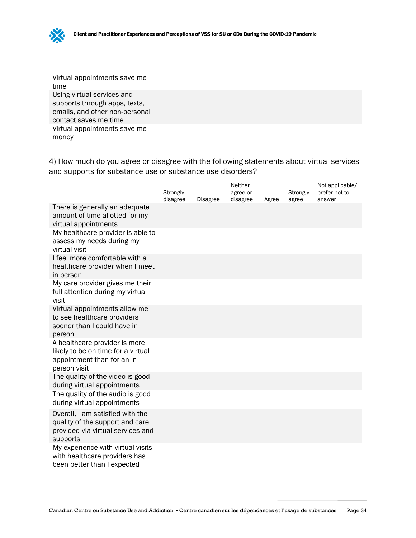Virtual appointments save me time Using virtual services and supports through apps, texts, emails, and other non-personal contact saves me time Virtual appointments save me money

4) How much do you agree or disagree with the following statements about virtual services and supports for substance use or substance use disorders?

|                                                                                                                      | Strongly<br>disagree | <b>Disagree</b> | Neither<br>agree or<br>disagree | Agree | Strongly<br>agree | Not applicable/<br>prefer not to<br>answer |
|----------------------------------------------------------------------------------------------------------------------|----------------------|-----------------|---------------------------------|-------|-------------------|--------------------------------------------|
| There is generally an adequate<br>amount of time allotted for my<br>virtual appointments                             |                      |                 |                                 |       |                   |                                            |
| My healthcare provider is able to<br>assess my needs during my<br>virtual visit                                      |                      |                 |                                 |       |                   |                                            |
| I feel more comfortable with a<br>healthcare provider when I meet<br>in person                                       |                      |                 |                                 |       |                   |                                            |
| My care provider gives me their<br>full attention during my virtual<br>visit                                         |                      |                 |                                 |       |                   |                                            |
| Virtual appointments allow me<br>to see healthcare providers<br>sooner than I could have in<br>person                |                      |                 |                                 |       |                   |                                            |
| A healthcare provider is more<br>likely to be on time for a virtual<br>appointment than for an in-<br>person visit   |                      |                 |                                 |       |                   |                                            |
| The quality of the video is good<br>during virtual appointments                                                      |                      |                 |                                 |       |                   |                                            |
| The quality of the audio is good<br>during virtual appointments                                                      |                      |                 |                                 |       |                   |                                            |
| Overall, I am satisfied with the<br>quality of the support and care<br>provided via virtual services and<br>supports |                      |                 |                                 |       |                   |                                            |
| My experience with virtual visits<br>with healthcare providers has<br>been better than I expected                    |                      |                 |                                 |       |                   |                                            |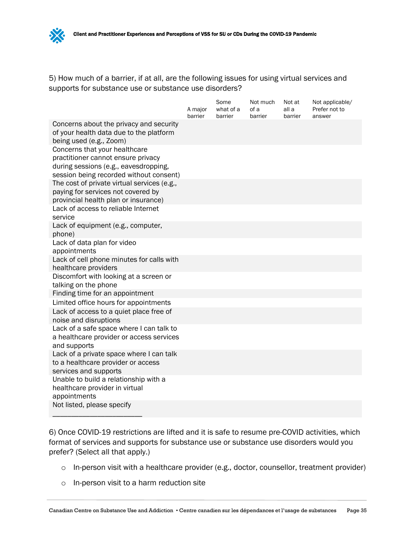5) How much of a barrier, if at all, are the following issues for using virtual services and supports for substance use or substance use disorders?

|                                                                                                                                                         | A major<br>barrier | Some<br>what of a<br>barrier | Not much<br>of a<br>barrier | Not at<br>all a<br>barrier | Not applicable/<br>Prefer not to<br>answer |
|---------------------------------------------------------------------------------------------------------------------------------------------------------|--------------------|------------------------------|-----------------------------|----------------------------|--------------------------------------------|
| Concerns about the privacy and security<br>of your health data due to the platform<br>being used (e.g., Zoom)                                           |                    |                              |                             |                            |                                            |
| Concerns that your healthcare<br>practitioner cannot ensure privacy<br>during sessions (e.g., eavesdropping,<br>session being recorded without consent) |                    |                              |                             |                            |                                            |
| The cost of private virtual services (e.g.,<br>paying for services not covered by<br>provincial health plan or insurance)                               |                    |                              |                             |                            |                                            |
| Lack of access to reliable Internet<br>service                                                                                                          |                    |                              |                             |                            |                                            |
| Lack of equipment (e.g., computer,<br>phone)                                                                                                            |                    |                              |                             |                            |                                            |
| Lack of data plan for video<br>appointments                                                                                                             |                    |                              |                             |                            |                                            |
| Lack of cell phone minutes for calls with<br>healthcare providers                                                                                       |                    |                              |                             |                            |                                            |
| Discomfort with looking at a screen or<br>talking on the phone                                                                                          |                    |                              |                             |                            |                                            |
| Finding time for an appointment<br>Limited office hours for appointments                                                                                |                    |                              |                             |                            |                                            |
| Lack of access to a quiet place free of<br>noise and disruptions                                                                                        |                    |                              |                             |                            |                                            |
| Lack of a safe space where I can talk to<br>a healthcare provider or access services<br>and supports                                                    |                    |                              |                             |                            |                                            |
| Lack of a private space where I can talk<br>to a healthcare provider or access<br>services and supports                                                 |                    |                              |                             |                            |                                            |
| Unable to build a relationship with a<br>healthcare provider in virtual<br>appointments                                                                 |                    |                              |                             |                            |                                            |
| Not listed, please specify                                                                                                                              |                    |                              |                             |                            |                                            |

6) Once COVID-19 restrictions are lifted and it is safe to resume pre-COVID activities, which format of services and supports for substance use or substance use disorders would you prefer? (Select all that apply.)

- o In-person visit with a healthcare provider (e.g., doctor, counsellor, treatment provider)
- o In-person visit to a harm reduction site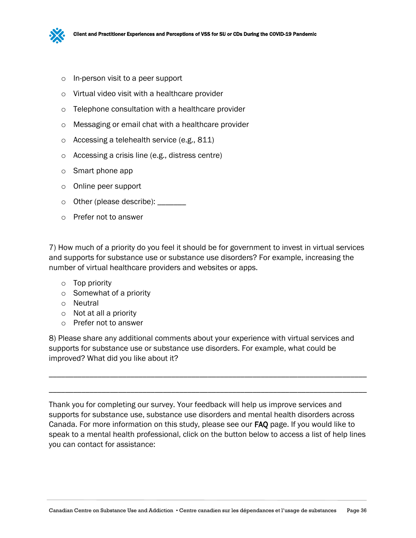

- o In-person visit to a peer support
- o Virtual video visit with a healthcare provider
- o Telephone consultation with a healthcare provider
- o Messaging or email chat with a healthcare provider
- o Accessing a telehealth service (e.g., 811)
- o Accessing a crisis line (e.g., distress centre)
- o Smart phone app
- o Online peer support
- o Other (please describe): \_\_\_\_\_\_\_
- o Prefer not to answer

7) How much of a priority do you feel it should be for government to invest in virtual services and supports for substance use or substance use disorders? For example, increasing the number of virtual healthcare providers and websites or apps.

- o Top priority
- o Somewhat of a priority
- o Neutral
- o Not at all a priority
- o Prefer not to answer

8) Please share any additional comments about your experience with virtual services and supports for substance use or substance use disorders. For example, what could be improved? What did you like about it?

Thank you for completing our survey. Your feedback will help us improve services and supports for substance use, substance use disorders and mental health disorders across Canada. For more information on this study, please see our FAQ page. If you would like to speak to a mental health professional, click on the button below to access a list of help lines you can contact for assistance:

\_\_\_\_\_\_\_\_\_\_\_\_\_\_\_\_\_\_\_\_\_\_\_\_\_\_\_\_\_\_\_\_\_\_\_\_\_\_\_\_\_\_\_\_\_\_\_\_\_\_\_\_\_\_\_\_\_\_\_\_\_\_\_\_\_\_\_\_\_\_\_\_\_\_\_\_\_\_

\_\_\_\_\_\_\_\_\_\_\_\_\_\_\_\_\_\_\_\_\_\_\_\_\_\_\_\_\_\_\_\_\_\_\_\_\_\_\_\_\_\_\_\_\_\_\_\_\_\_\_\_\_\_\_\_\_\_\_\_\_\_\_\_\_\_\_\_\_\_\_\_\_\_\_\_\_\_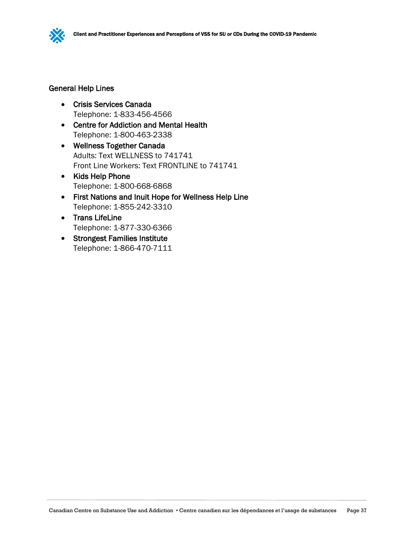

#### General Help Lines

- Crisis Services Canada Telephone: 1-833-456-4566
- Centre for Addiction and Mental Health Telephone: 1-800-463-2338
- Wellness Together Canada Adults: Text WELLNESS to 741741 Front Line Workers: Text FRONTLINE to 741741
- Kids Help Phone Telephone: 1-800-668-6868
- First Nations and Inuit Hope for Wellness Help Line Telephone: 1-855-242-3310
- Trans LifeLine Telephone: 1-877-330-6366
- Strongest Families Institute Telephone: 1-866-470-7111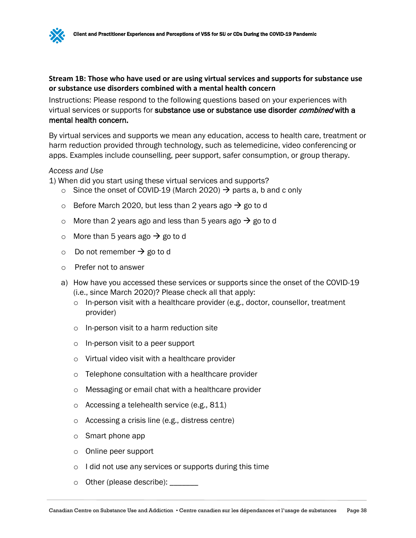## **Stream 1B: Those who have used or are using virtual services and supports for substance use or substance use disorders combined with a mental health concern**

Instructions: Please respond to the following questions based on your experiences with virtual services or supports for substance use or substance use disorder *combined* with a mental health concern.

By virtual services and supports we mean any education, access to health care, treatment or harm reduction provided through technology, such as telemedicine, video conferencing or apps. Examples include counselling, peer support, safer consumption, or group therapy.

#### *Access and Use*

1) When did you start using these virtual services and supports?

- $\circ$  Since the onset of COVID-19 (March 2020)  $\rightarrow$  parts a, b and c only
- o Before March 2020, but less than 2 years ago  $\rightarrow$  go to d
- o More than 2 years ago and less than 5 years ago  $\rightarrow$  go to d
- o More than 5 years ago  $\rightarrow$  go to d
- $\circ$  Do not remember  $\rightarrow$  go to d
- o Prefer not to answer
- a) How have you accessed these services or supports since the onset of the COVID-19 (i.e., since March 2020)? Please check all that apply:
	- o In-person visit with a healthcare provider (e.g., doctor, counsellor, treatment provider)
	- o In-person visit to a harm reduction site
	- o In-person visit to a peer support
	- o Virtual video visit with a healthcare provider
	- o Telephone consultation with a healthcare provider
	- o Messaging or email chat with a healthcare provider
	- o Accessing a telehealth service (e.g., 811)
	- o Accessing a crisis line (e.g., distress centre)
	- o Smart phone app
	- o Online peer support
	- o I did not use any services or supports during this time
	- o Other (please describe): \_\_\_\_\_\_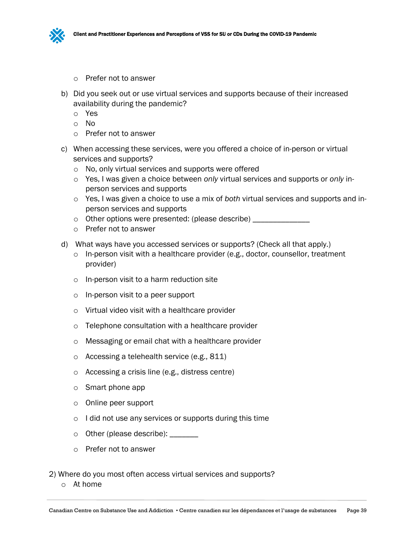

- o Prefer not to answer
- b) Did you seek out or use virtual services and supports because of their increased availability during the pandemic?
	- o Yes
	- o No
	- o Prefer not to answer
- c) When accessing these services, were you offered a choice of in-person or virtual services and supports?
	- o No, only virtual services and supports were offered
	- o Yes, I was given a choice between *only* virtual services and supports or *only* inperson services and supports
	- o Yes, I was given a choice to use a mix of *both* virtual services and supports and inperson services and supports
	- o Other options were presented: (please describe) \_\_\_\_\_\_\_\_\_\_\_\_\_\_\_
	- o Prefer not to answer
- d) What ways have you accessed services or supports? (Check all that apply.)
	- o In-person visit with a healthcare provider (e.g., doctor, counsellor, treatment provider)
	- o In-person visit to a harm reduction site
	- o In-person visit to a peer support
	- o Virtual video visit with a healthcare provider
	- o Telephone consultation with a healthcare provider
	- o Messaging or email chat with a healthcare provider
	- o Accessing a telehealth service (e.g., 811)
	- o Accessing a crisis line (e.g., distress centre)
	- o Smart phone app
	- o Online peer support
	- o I did not use any services or supports during this time
	- o Other (please describe): \_\_\_\_\_\_
	- o Prefer not to answer

2) Where do you most often access virtual services and supports?

o At home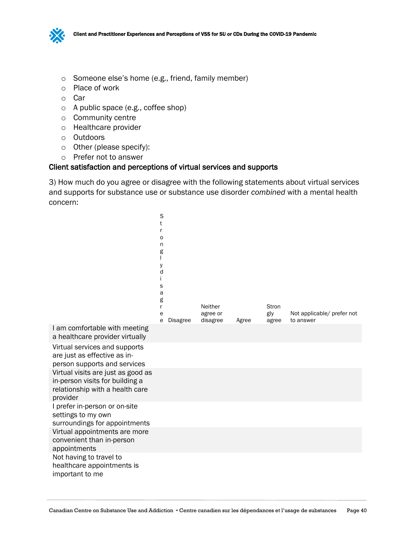

- o Someone else's home (e.g., friend, family member)
- o Place of work
- o Car
- o A public space (e.g., coffee shop)
- o Community centre
- o Healthcare provider
- o Outdoors
- o Other (please specify):
- o Prefer not to answer

#### Client satisfaction and perceptions of virtual services and supports

3) How much do you agree or disagree with the following statements about virtual services and supports for substance use or substance use disorder *combined* with a mental health concern:

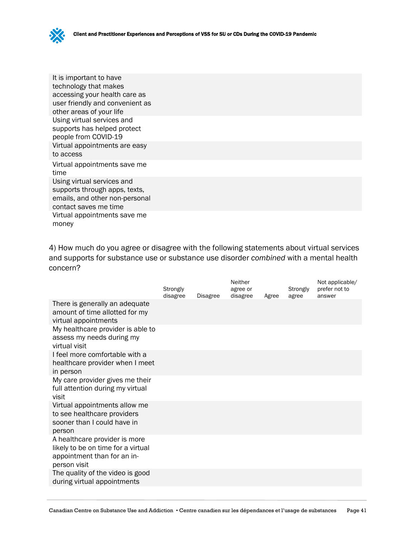

It is important to have technology that makes accessing your health care as user friendly and convenient as other areas of your life Using virtual services and supports has helped protect people from COVID-19 Virtual appointments are easy to access Virtual appointments save me time Using virtual services and supports through apps, texts, emails, and other non-personal contact saves me time Virtual appointments save me money

4) How much do you agree or disagree with the following statements about virtual services and supports for substance use or substance use disorder *combined* with a mental health concern?

|                                                                                                                    | Strongly<br>disagree | <b>Disagree</b> | Neither<br>agree or<br>disagree | Agree | Strongly<br>agree | Not applicable/<br>prefer not to<br>answer |
|--------------------------------------------------------------------------------------------------------------------|----------------------|-----------------|---------------------------------|-------|-------------------|--------------------------------------------|
| There is generally an adequate<br>amount of time allotted for my<br>virtual appointments                           |                      |                 |                                 |       |                   |                                            |
| My healthcare provider is able to<br>assess my needs during my<br>virtual visit                                    |                      |                 |                                 |       |                   |                                            |
| I feel more comfortable with a<br>healthcare provider when I meet<br>in person                                     |                      |                 |                                 |       |                   |                                            |
| My care provider gives me their<br>full attention during my virtual<br>visit                                       |                      |                 |                                 |       |                   |                                            |
| Virtual appointments allow me<br>to see healthcare providers<br>sooner than I could have in<br>person              |                      |                 |                                 |       |                   |                                            |
| A healthcare provider is more<br>likely to be on time for a virtual<br>appointment than for an in-<br>person visit |                      |                 |                                 |       |                   |                                            |
| The quality of the video is good<br>during virtual appointments                                                    |                      |                 |                                 |       |                   |                                            |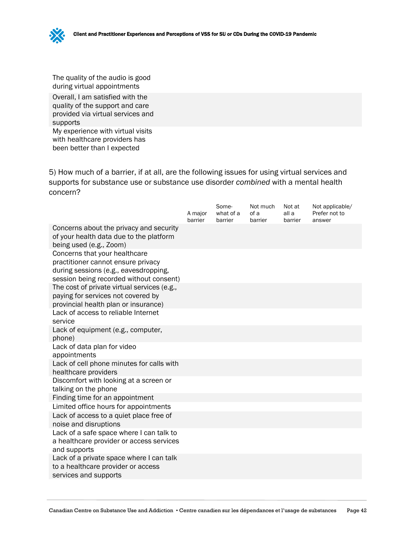The quality of the audio is good during virtual appointments

Overall, I am satisfied with the quality of the support and care provided via virtual services and supports My experience with virtual visits with healthcare providers has

been better than I expected

5) How much of a barrier, if at all, are the following issues for using virtual services and supports for substance use or substance use disorder *combined* with a mental health concern?

|                                                                                                                                                         | A major<br>barrier | Some-<br>what of a<br>barrier | Not much<br>of a<br>barrier | Not at<br>all a<br>barrier | Not applicable/<br>Prefer not to<br>answer |
|---------------------------------------------------------------------------------------------------------------------------------------------------------|--------------------|-------------------------------|-----------------------------|----------------------------|--------------------------------------------|
| Concerns about the privacy and security<br>of your health data due to the platform<br>being used (e.g., Zoom)                                           |                    |                               |                             |                            |                                            |
| Concerns that your healthcare<br>practitioner cannot ensure privacy<br>during sessions (e.g., eavesdropping,<br>session being recorded without consent) |                    |                               |                             |                            |                                            |
| The cost of private virtual services (e.g.,<br>paying for services not covered by<br>provincial health plan or insurance)                               |                    |                               |                             |                            |                                            |
| Lack of access to reliable Internet<br>service                                                                                                          |                    |                               |                             |                            |                                            |
| Lack of equipment (e.g., computer,<br>phone)                                                                                                            |                    |                               |                             |                            |                                            |
| Lack of data plan for video<br>appointments                                                                                                             |                    |                               |                             |                            |                                            |
| Lack of cell phone minutes for calls with<br>healthcare providers                                                                                       |                    |                               |                             |                            |                                            |
| Discomfort with looking at a screen or<br>talking on the phone                                                                                          |                    |                               |                             |                            |                                            |
| Finding time for an appointment                                                                                                                         |                    |                               |                             |                            |                                            |
| Limited office hours for appointments                                                                                                                   |                    |                               |                             |                            |                                            |
| Lack of access to a quiet place free of<br>noise and disruptions                                                                                        |                    |                               |                             |                            |                                            |
| Lack of a safe space where I can talk to<br>a healthcare provider or access services<br>and supports                                                    |                    |                               |                             |                            |                                            |
| Lack of a private space where I can talk<br>to a healthcare provider or access<br>services and supports                                                 |                    |                               |                             |                            |                                            |
|                                                                                                                                                         |                    |                               |                             |                            |                                            |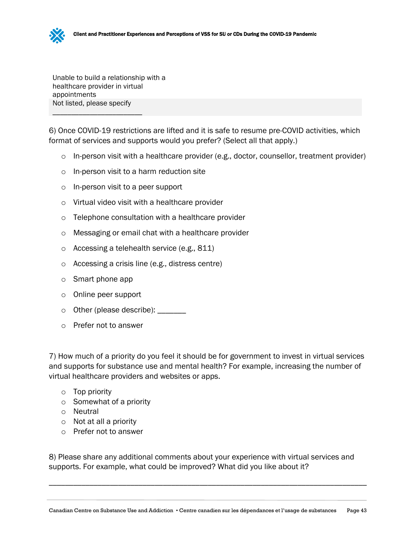Unable to build a relationship with a healthcare provider in virtual appointments Not listed, please specify

\_\_\_\_\_\_\_\_\_\_\_\_\_\_\_\_\_\_\_\_\_\_\_\_

6) Once COVID-19 restrictions are lifted and it is safe to resume pre-COVID activities, which format of services and supports would you prefer? (Select all that apply.)

- $\circ$  In-person visit with a healthcare provider (e.g., doctor, counsellor, treatment provider)
- o In-person visit to a harm reduction site
- o In-person visit to a peer support
- o Virtual video visit with a healthcare provider
- o Telephone consultation with a healthcare provider
- o Messaging or email chat with a healthcare provider
- o Accessing a telehealth service (e.g., 811)
- o Accessing a crisis line (e.g., distress centre)
- o Smart phone app
- o Online peer support
- $\circ$  Other (please describe): \_\_\_\_\_\_\_
- o Prefer not to answer

7) How much of a priority do you feel it should be for government to invest in virtual services and supports for substance use and mental health? For example, increasing the number of virtual healthcare providers and websites or apps.

- o Top priority
- o Somewhat of a priority
- o Neutral
- o Not at all a priority
- o Prefer not to answer

8) Please share any additional comments about your experience with virtual services and supports. For example, what could be improved? What did you like about it?

\_\_\_\_\_\_\_\_\_\_\_\_\_\_\_\_\_\_\_\_\_\_\_\_\_\_\_\_\_\_\_\_\_\_\_\_\_\_\_\_\_\_\_\_\_\_\_\_\_\_\_\_\_\_\_\_\_\_\_\_\_\_\_\_\_\_\_\_\_\_\_\_\_\_\_\_\_\_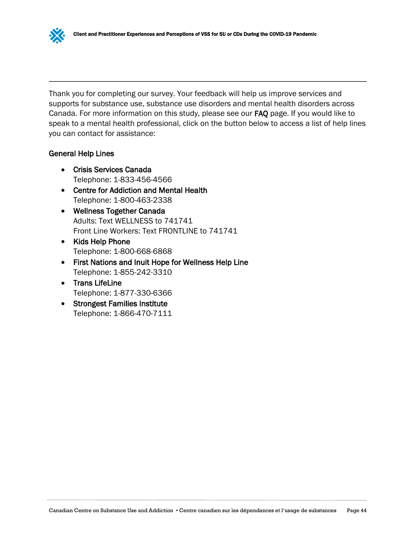Thank you for completing our survey. Your feedback will help us improve services and supports for substance use, substance use disorders and mental health disorders across Canada. For more information on this study, please see our FAQ page. If you would like to speak to a mental health professional, click on the button below to access a list of help lines you can contact for assistance:

\_\_\_\_\_\_\_\_\_\_\_\_\_\_\_\_\_\_\_\_\_\_\_\_\_\_\_\_\_\_\_\_\_\_\_\_\_\_\_\_\_\_\_\_\_\_\_\_\_\_\_\_\_\_\_\_\_\_\_\_\_\_\_\_\_\_\_\_\_\_\_\_\_\_\_\_\_\_

#### General Help Lines

- Crisis Services Canada Telephone: 1-833-456-4566
- Centre for Addiction and Mental Health Telephone: 1-800-463-2338
- Wellness Together Canada Adults: Text WELLNESS to 741741 Front Line Workers: Text FRONTLINE to 741741
- Kids Help Phone Telephone: 1-800-668-6868
- First Nations and Inuit Hope for Wellness Help Line Telephone: 1-855-242-3310
- Trans LifeLine Telephone: 1-877-330-6366
- Strongest Families Institute Telephone: 1-866-470-7111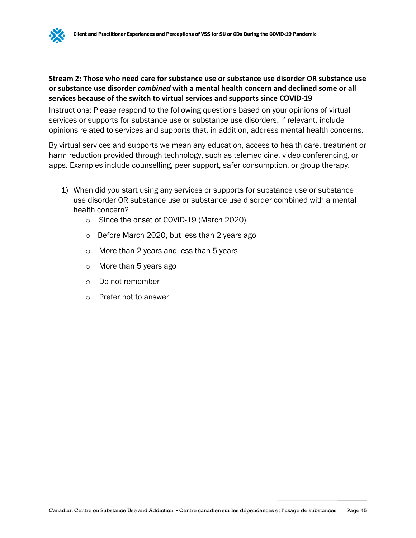#### **Stream 2: Those who need care for substance use or substance use disorder OR substance use or substance use disorder** *combined* **with a mental health concern and declined some or all services because of the switch to virtual services and supports since COVID-19**

Instructions: Please respond to the following questions based on your opinions of virtual services or supports for substance use or substance use disorders. If relevant, include opinions related to services and supports that, in addition, address mental health concerns.

By virtual services and supports we mean any education, access to health care, treatment or harm reduction provided through technology, such as telemedicine, video conferencing, or apps. Examples include counselling, peer support, safer consumption, or group therapy.

- 1) When did you start using any services or supports for substance use or substance use disorder OR substance use or substance use disorder combined with a mental health concern?
	- o Since the onset of COVID-19 (March 2020)
	- o Before March 2020, but less than 2 years ago
	- o More than 2 years and less than 5 years
	- o More than 5 years ago
	- o Do not remember
	- o Prefer not to answer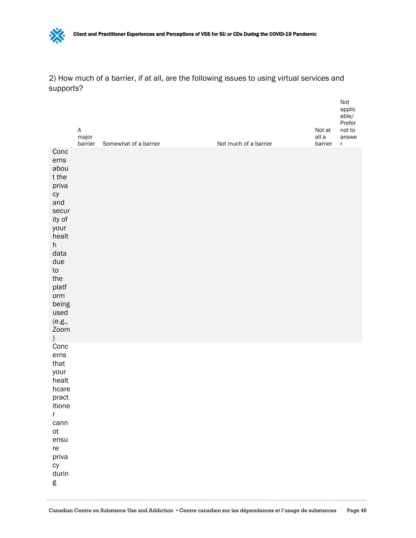

2) How much of a barrier, if at all, are the following issues to using virtual services and supports?

Not

|                                                                                                                                                                                                      | $\mathsf A$<br>major<br>barrier | Somewhat of a barrier | Not much of a barrier | Not at<br>all a<br>barrier | $\cdot$<br>applic<br>able/<br>Prefer<br>not to<br>answe<br>r |
|------------------------------------------------------------------------------------------------------------------------------------------------------------------------------------------------------|---------------------------------|-----------------------|-----------------------|----------------------------|--------------------------------------------------------------|
| Conc<br>erns<br>abou<br>t the<br>priva<br>cy<br>and<br>secur<br>ity of<br>your<br>healt<br>h<br>data<br>due<br>${\sf to}$<br>the<br>platf<br>orm<br>being<br>used<br>(e.g.,<br>Zoom<br>$\mathcal{E}$ |                                 |                       |                       |                            |                                                              |
| Conc<br>erns<br>that<br>your<br>healt<br>hcare<br>pract<br>itione<br>$\mathsf r$<br>cann<br>ot<br>ensu<br>re<br>priva<br>cy<br>durin<br>g                                                            |                                 |                       |                       |                            |                                                              |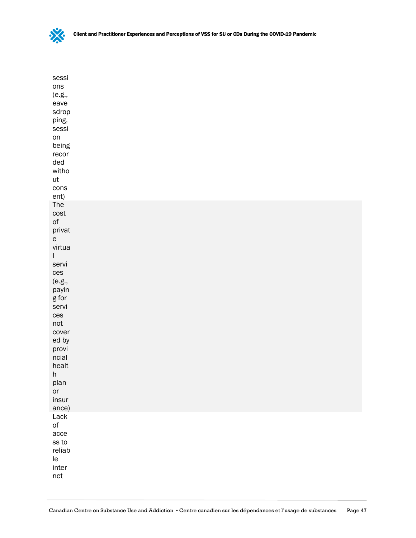

| sessi<br>ons<br>(e.g.,<br>eave<br>sdrop<br>ping,<br>sessi<br>on<br>being<br>recor<br>ded<br>witho<br>ut<br>cons<br>ent)                                                                                                                               |  |  |  |
|-------------------------------------------------------------------------------------------------------------------------------------------------------------------------------------------------------------------------------------------------------|--|--|--|
| The<br>cost<br>$\mathsf{of}$<br>privat<br>${\mathsf e}$<br>virtua<br>I<br>servi<br>ces<br>(e.g.,<br>payin<br>$g$ for<br>servi<br>ces<br>not<br>cover<br>ed by<br>provi<br>ncial<br>healt<br>$\boldsymbol{\mathsf{h}}$<br>plan<br>or<br>insur<br>ance) |  |  |  |
| Lack<br>$\mathsf{of}$<br>acce<br>ss to<br>reliab<br>le<br>inter<br>net                                                                                                                                                                                |  |  |  |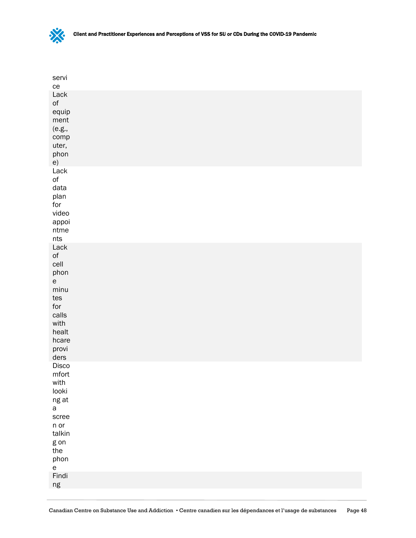

| servi<br>ce                                                                                                                                      |  |  |  |
|--------------------------------------------------------------------------------------------------------------------------------------------------|--|--|--|
| Lack<br>$\mathsf{of}$<br>equip<br>ment<br>(e.g.,<br>comp<br>uter,<br>phon<br>e)                                                                  |  |  |  |
| Lack<br>$\mathsf{of}$<br>data<br>plan<br>for<br>video<br>appoi<br>$n$ tme<br>nts                                                                 |  |  |  |
| Lack<br>$\circ$ f<br>cell<br>phon<br>$\mathsf{e}% _{t}\left( t\right)$<br>minu<br>tes<br>for<br>calls<br>with<br>healt<br>hcare<br>provi<br>ders |  |  |  |
| Disco<br>mfort<br>with<br>looki<br>ng at<br>$\mathsf{a}$<br>scree<br>$n$ or<br>talkin<br>g on<br>the<br>phon<br>$\mathsf{e}\,$                   |  |  |  |
| Findi<br>ng                                                                                                                                      |  |  |  |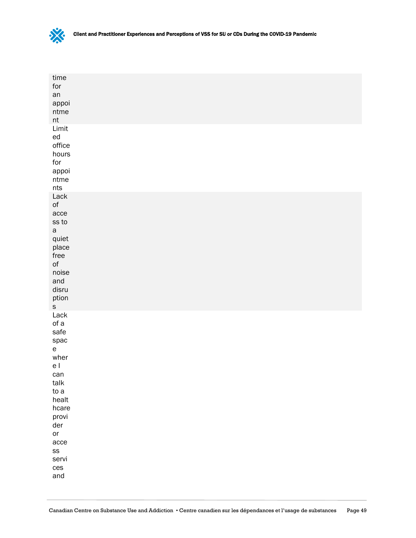

| time<br>$\operatorname{\textsf{for}}$<br>an<br>appoi<br>$n$ tme<br>$\sf{nt}$                                                                                                   |  |  |
|--------------------------------------------------------------------------------------------------------------------------------------------------------------------------------|--|--|
| Limit<br>${\sf ed}$<br>office<br>hours<br>for<br>appoi<br>$\textsf{n}\textsf{t}\textsf{m}\textsf{e}$<br>nts                                                                    |  |  |
| Lack<br>$\mathsf{of}$<br>acce<br>$ss\ to$<br>$\mathsf{a}$<br>quiet<br>place<br>free<br>$\mathsf{of}$<br>noise<br>and<br>disru<br>ption<br>$\mathsf S$                          |  |  |
| Lack<br>of a<br>safe<br>spac<br>${\bf e}$<br>wher<br>e l<br>can<br>talk<br>to a<br>healt<br>hcare<br>provi<br>der<br>or<br>acce<br>$\textsf{SS}\xspace$<br>servi<br>ces<br>and |  |  |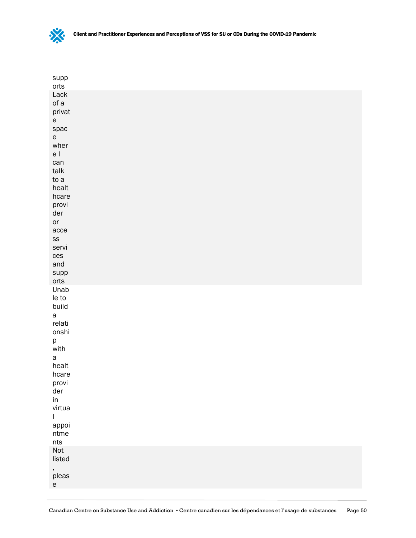

| supp<br>orts                                                                                                                                                                                                                     |  |  |
|----------------------------------------------------------------------------------------------------------------------------------------------------------------------------------------------------------------------------------|--|--|
| Lack<br>of a<br>privat<br>$\mathsf{e}% _{t}\left( t\right)$<br>spac<br>${\bf e}$<br>wher<br>e l<br>can<br>$t$ alk<br>to a<br>healt<br>hcare<br>provi<br>der<br>or<br>acce<br>$\textsf{SS}\xspace$<br>servi<br>ces<br>and<br>supp |  |  |
| orts<br>Unab<br>le to<br>build<br>$\mathsf{a}$<br>relati<br>onshi<br>p<br>with<br>$\mathsf{a}$<br>healt<br>hcare<br>provi<br>der<br>in<br>virtua<br>$\mathsf{L}$<br>appoi<br>$n$ tme<br>$\sf{nts}$                               |  |  |
| Not<br>listed<br>,<br>pleas<br>$\mathsf{e}% _{t}\left( t\right)$                                                                                                                                                                 |  |  |
|                                                                                                                                                                                                                                  |  |  |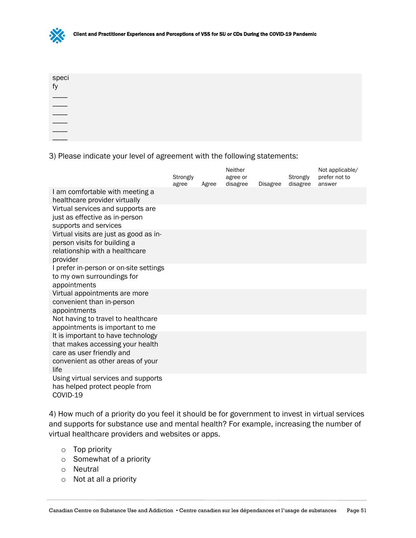

| speci<br>fy |  |  |  |
|-------------|--|--|--|
|             |  |  |  |
|             |  |  |  |
|             |  |  |  |
| ____        |  |  |  |
|             |  |  |  |
|             |  |  |  |

3) Please indicate your level of agreement with the following statements:

|                                                                                                                                                  | Strongly<br>agree | Agree | Neither<br>agree or<br>disagree | <b>Disagree</b> | Strongly<br>disagree | Not applicable/<br>prefer not to<br>answer |
|--------------------------------------------------------------------------------------------------------------------------------------------------|-------------------|-------|---------------------------------|-----------------|----------------------|--------------------------------------------|
| I am comfortable with meeting a<br>healthcare provider virtually                                                                                 |                   |       |                                 |                 |                      |                                            |
| Virtual services and supports are<br>just as effective as in-person<br>supports and services                                                     |                   |       |                                 |                 |                      |                                            |
| Virtual visits are just as good as in-<br>person visits for building a<br>relationship with a healthcare<br>provider                             |                   |       |                                 |                 |                      |                                            |
| I prefer in-person or on-site settings<br>to my own surroundings for<br>appointments                                                             |                   |       |                                 |                 |                      |                                            |
| Virtual appointments are more<br>convenient than in-person<br>appointments                                                                       |                   |       |                                 |                 |                      |                                            |
| Not having to travel to healthcare<br>appointments is important to me                                                                            |                   |       |                                 |                 |                      |                                            |
| It is important to have technology<br>that makes accessing your health<br>care as user friendly and<br>convenient as other areas of your<br>life |                   |       |                                 |                 |                      |                                            |
| Using virtual services and supports<br>has helped protect people from<br>COVID-19                                                                |                   |       |                                 |                 |                      |                                            |

4) How much of a priority do you feel it should be for government to invest in virtual services and supports for substance use and mental health? For example, increasing the number of virtual healthcare providers and websites or apps.

- o Top priority
- o Somewhat of a priority
- o Neutral
- o Not at all a priority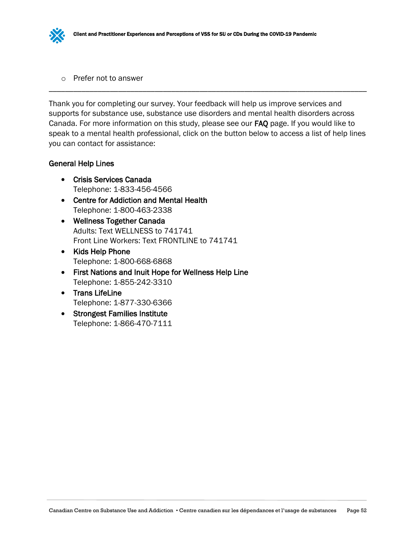

o Prefer not to answer

Thank you for completing our survey. Your feedback will help us improve services and supports for substance use, substance use disorders and mental health disorders across Canada. For more information on this study, please see our FAQ page. If you would like to speak to a mental health professional, click on the button below to access a list of help lines you can contact for assistance:

\_\_\_\_\_\_\_\_\_\_\_\_\_\_\_\_\_\_\_\_\_\_\_\_\_\_\_\_\_\_\_\_\_\_\_\_\_\_\_\_\_\_\_\_\_\_\_\_\_\_\_\_\_\_\_\_\_\_\_\_\_\_\_\_\_\_\_\_\_\_\_\_\_\_\_\_\_\_

## General Help Lines

- Crisis Services Canada Telephone: 1-833-456-4566
- Centre for Addiction and Mental Health Telephone: 1-800-463-2338
- Wellness Together Canada Adults: Text WELLNESS to 741741 Front Line Workers: Text FRONTLINE to 741741
- Kids Help Phone Telephone: 1-800-668-6868
- First Nations and Inuit Hope for Wellness Help Line Telephone: 1-855-242-3310
- Trans LifeLine Telephone: 1-877-330-6366
- Strongest Families Institute Telephone: 1-866-470-7111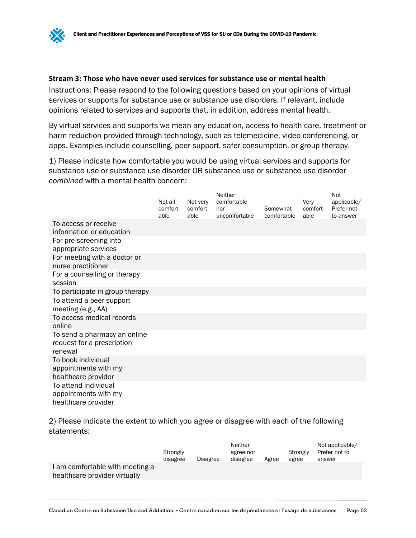#### **Stream 3: Those who have never used services for substance use or mental health**

Instructions: Please respond to the following questions based on your opinions of virtual services or supports for substance use or substance use disorders. If relevant, include opinions related to services and supports that, in addition, address mental health.

By virtual services and supports we mean any education, access to health care, treatment or harm reduction provided through technology, such as telemedicine, video conferencing, or apps. Examples include counselling, peer support, safer consumption, or group therapy.

1) Please indicate how comfortable you would be using virtual services and supports for substance use or substance use disorder OR substance use or substance use disorder *combined* with a mental health concern:

|                                                                       | Not all<br>comfort<br>able | Not very<br>comfort<br>able | Neither<br>comfortable<br>nor<br>uncomfortable | Somewhat<br>comfortable | Very<br>comfort<br>able | Not<br>applicable/<br>Prefer not<br>to answer |
|-----------------------------------------------------------------------|----------------------------|-----------------------------|------------------------------------------------|-------------------------|-------------------------|-----------------------------------------------|
| To access or receive<br>information or education                      |                            |                             |                                                |                         |                         |                                               |
| For pre-screening into<br>appropriate services                        |                            |                             |                                                |                         |                         |                                               |
| For meeting with a doctor or<br>nurse practitioner                    |                            |                             |                                                |                         |                         |                                               |
| For a counselling or therapy<br>session                               |                            |                             |                                                |                         |                         |                                               |
| To participate in group therapy                                       |                            |                             |                                                |                         |                         |                                               |
| To attend a peer support<br>meeting (e.g., AA)                        |                            |                             |                                                |                         |                         |                                               |
| To access medical records<br>online                                   |                            |                             |                                                |                         |                         |                                               |
| To send a pharmacy an online<br>request for a prescription<br>renewal |                            |                             |                                                |                         |                         |                                               |
| To book individual<br>appointments with my<br>healthcare provider     |                            |                             |                                                |                         |                         |                                               |
| To attend individual<br>appointments with my<br>healthcare provider   |                            |                             |                                                |                         |                         |                                               |

2) Please indicate the extent to which you agree or disagree with each of the following statements:

|                                                                | Strongly<br>disagree | Disagree | Neither<br>agree nor<br>disagree | Agree | Strongly<br>agree | Not applicable/<br>Prefer not to<br>answer |
|----------------------------------------------------------------|----------------------|----------|----------------------------------|-------|-------------------|--------------------------------------------|
| am comfortable with meeting a<br>healthcare provider virtually |                      |          |                                  |       |                   |                                            |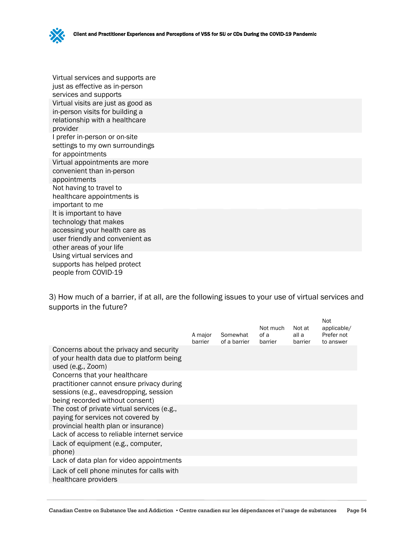

Virtual services and supports are just as effective as in-person services and supports Virtual visits are just as good as in-person visits for building a relationship with a healthcare provider I prefer in-person or on-site settings to my own surroundings for appointments Virtual appointments are more convenient than in-person appointments Not having to travel to healthcare appointments is important to me It is important to have technology that makes accessing your health care as user friendly and convenient as other areas of your life Using virtual services and supports has helped protect people from COVID-19

3) How much of a barrier, if at all, are the following issues to your use of virtual services and supports in the future?

|                                                                                                                                                         | A major<br>barrier | Somewhat<br>of a barrier | Not much<br>of a<br>barrier | Not at<br>all a<br>barrier | Not<br>applicable/<br>Prefer not<br>to answer |
|---------------------------------------------------------------------------------------------------------------------------------------------------------|--------------------|--------------------------|-----------------------------|----------------------------|-----------------------------------------------|
| Concerns about the privacy and security<br>of your health data due to platform being<br>used $(e.g., Zoom)$                                             |                    |                          |                             |                            |                                               |
| Concerns that your healthcare<br>practitioner cannot ensure privacy during<br>sessions (e.g., eavesdropping, session<br>being recorded without consent) |                    |                          |                             |                            |                                               |
| The cost of private virtual services (e.g.,<br>paying for services not covered by<br>provincial health plan or insurance)                               |                    |                          |                             |                            |                                               |
| Lack of access to reliable internet service<br>Lack of equipment (e.g., computer,<br>phone)                                                             |                    |                          |                             |                            |                                               |
| Lack of data plan for video appointments                                                                                                                |                    |                          |                             |                            |                                               |
| Lack of cell phone minutes for calls with<br>healthcare providers                                                                                       |                    |                          |                             |                            |                                               |
|                                                                                                                                                         |                    |                          |                             |                            |                                               |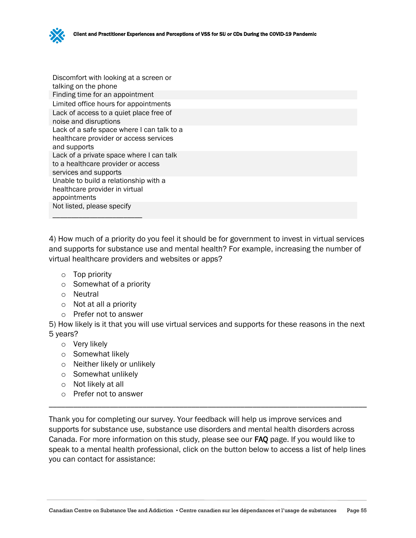Discomfort with looking at a screen or talking on the phone Finding time for an appointment Limited office hours for appointments Lack of access to a quiet place free of noise and disruptions Lack of a safe space where I can talk to a healthcare provider or access services and supports Lack of a private space where I can talk to a healthcare provider or access services and supports Unable to build a relationship with a healthcare provider in virtual appointments Not listed, please specify

4) How much of a priority do you feel it should be for government to invest in virtual services and supports for substance use and mental health? For example, increasing the number of virtual healthcare providers and websites or apps?

- o Top priority
- o Somewhat of a priority
- o Neutral
- o Not at all a priority

\_\_\_\_\_\_\_\_\_\_\_\_\_\_\_\_\_\_\_\_\_\_\_\_

o Prefer not to answer

5) How likely is it that you will use virtual services and supports for these reasons in the next 5 years?

- o Very likely
- o Somewhat likely
- o Neither likely or unlikely
- o Somewhat unlikely
- o Not likely at all
- o Prefer not to answer

Thank you for completing our survey. Your feedback will help us improve services and supports for substance use, substance use disorders and mental health disorders across Canada. For more information on this study, please see our FAQ page. If you would like to speak to a mental health professional, click on the button below to access a list of help lines you can contact for assistance:

\_\_\_\_\_\_\_\_\_\_\_\_\_\_\_\_\_\_\_\_\_\_\_\_\_\_\_\_\_\_\_\_\_\_\_\_\_\_\_\_\_\_\_\_\_\_\_\_\_\_\_\_\_\_\_\_\_\_\_\_\_\_\_\_\_\_\_\_\_\_\_\_\_\_\_\_\_\_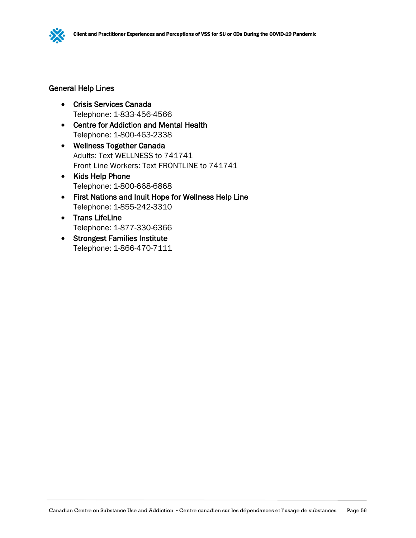

#### General Help Lines

- Crisis Services Canada Telephone: 1-833-456-4566
- Centre for Addiction and Mental Health Telephone: 1-800-463-2338
- Wellness Together Canada Adults: Text WELLNESS to 741741 Front Line Workers: Text FRONTLINE to 741741
- Kids Help Phone Telephone: 1-800-668-6868
- First Nations and Inuit Hope for Wellness Help Line Telephone: 1-855-242-3310
- Trans LifeLine Telephone: 1-877-330-6366
- Strongest Families Institute Telephone: 1-866-470-7111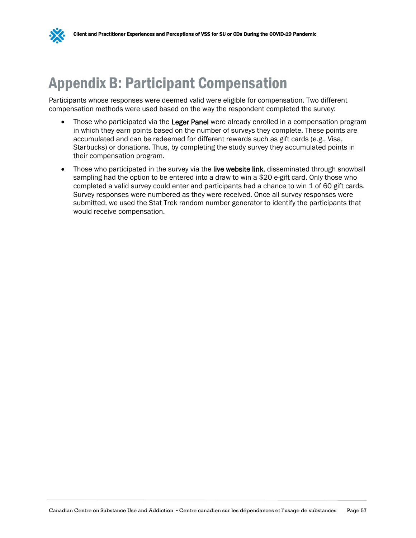<span id="page-60-0"></span>

Participants whose responses were deemed valid were eligible for compensation. Two different compensation methods were used based on the way the respondent completed the survey:

- Those who participated via the Leger Panel were already enrolled in a compensation program in which they earn points based on the number of surveys they complete. These points are accumulated and can be redeemed for different rewards such as gift cards (e.g., Visa, Starbucks) or donations. Thus, by completing the study survey they accumulated points in their compensation program.
- Those who participated in the survey via the live website link, disseminated through snowball sampling had the option to be entered into a draw to win a \$20 e-gift card. Only those who completed a valid survey could enter and participants had a chance to win 1 of 60 gift cards. Survey responses were numbered as they were received. Once all survey responses were submitted, we used the Stat Trek random number generator to identify the participants that would receive compensation.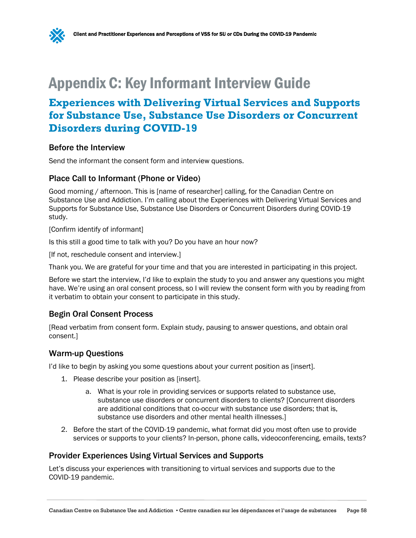# <span id="page-61-0"></span>Appendix C: Key Informant Interview Guide

# **Experiences with Delivering Virtual Services and Supports for Substance Use, Substance Use Disorders or Concurrent Disorders during COVID-19**

#### Before the Interview

Send the informant the consent form and interview questions.

#### Place Call to Informant (Phone or Video)

Good morning / afternoon. This is [name of researcher] calling, for the Canadian Centre on Substance Use and Addiction. I'm calling about the Experiences with Delivering Virtual Services and Supports for Substance Use, Substance Use Disorders or Concurrent Disorders during COVID-19 study.

[Confirm identify of informant]

Is this still a good time to talk with you? Do you have an hour now?

[If not, reschedule consent and interview.]

Thank you. We are grateful for your time and that you are interested in participating in this project.

Before we start the interview, I'd like to explain the study to you and answer any questions you might have. We're using an oral consent process, so I will review the consent form with you by reading from it verbatim to obtain your consent to participate in this study.

#### Begin Oral Consent Process

[Read verbatim from consent form. Explain study, pausing to answer questions, and obtain oral consent.]

## Warm-up Questions

I'd like to begin by asking you some questions about your current position as [insert].

- 1. Please describe your position as [insert].
	- a. What is your role in providing services or supports related to substance use, substance use disorders or concurrent disorders to clients? [Concurrent disorders are additional conditions that co-occur with substance use disorders; that is, substance use disorders and other mental health illnesses.]
- 2. Before the start of the COVID-19 pandemic, what format did you most often use to provide services or supports to your clients? In-person, phone calls, videoconferencing, emails, texts?

## Provider Experiences Using Virtual Services and Supports

Let's discuss your experiences with transitioning to virtual services and supports due to the COVID-19 pandemic.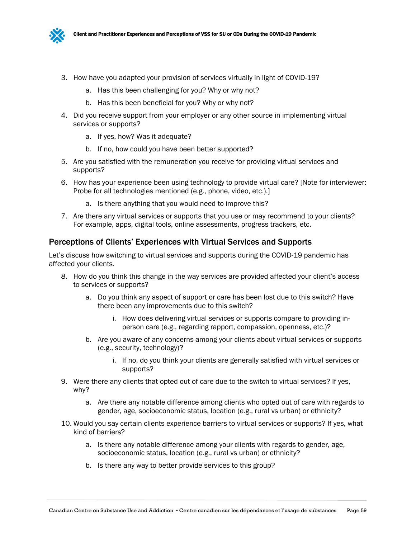

- 3. How have you adapted your provision of services virtually in light of COVID-19?
	- a. Has this been challenging for you? Why or why not?
	- b. Has this been beneficial for you? Why or why not?
- 4. Did you receive support from your employer or any other source in implementing virtual services or supports?
	- a. If yes, how? Was it adequate?
	- b. If no, how could you have been better supported?
- 5. Are you satisfied with the remuneration you receive for providing virtual services and supports?
- 6. How has your experience been using technology to provide virtual care? [Note for interviewer: Probe for all technologies mentioned (e.g., phone, video, etc.).]
	- a. Is there anything that you would need to improve this?
- 7. Are there any virtual services or supports that you use or may recommend to your clients? For example, apps, digital tools, online assessments, progress trackers, etc.

#### Perceptions of Clients' Experiences with Virtual Services and Supports

Let's discuss how switching to virtual services and supports during the COVID-19 pandemic has affected your clients.

- 8. How do you think this change in the way services are provided affected your client's access to services or supports?
	- a. Do you think any aspect of support or care has been lost due to this switch? Have there been any improvements due to this switch?
		- i. How does delivering virtual services or supports compare to providing inperson care (e.g., regarding rapport, compassion, openness, etc.)?
	- b. Are you aware of any concerns among your clients about virtual services or supports (e.g., security, technology)?
		- i. If no, do you think your clients are generally satisfied with virtual services or supports?
- 9. Were there any clients that opted out of care due to the switch to virtual services? If yes, why?
	- a. Are there any notable difference among clients who opted out of care with regards to gender, age, socioeconomic status, location (e.g., rural vs urban) or ethnicity?
- 10. Would you say certain clients experience barriers to virtual services or supports? If yes, what kind of barriers?
	- a. Is there any notable difference among your clients with regards to gender, age, socioeconomic status, location (e.g., rural vs urban) or ethnicity?
	- b. Is there any way to better provide services to this group?